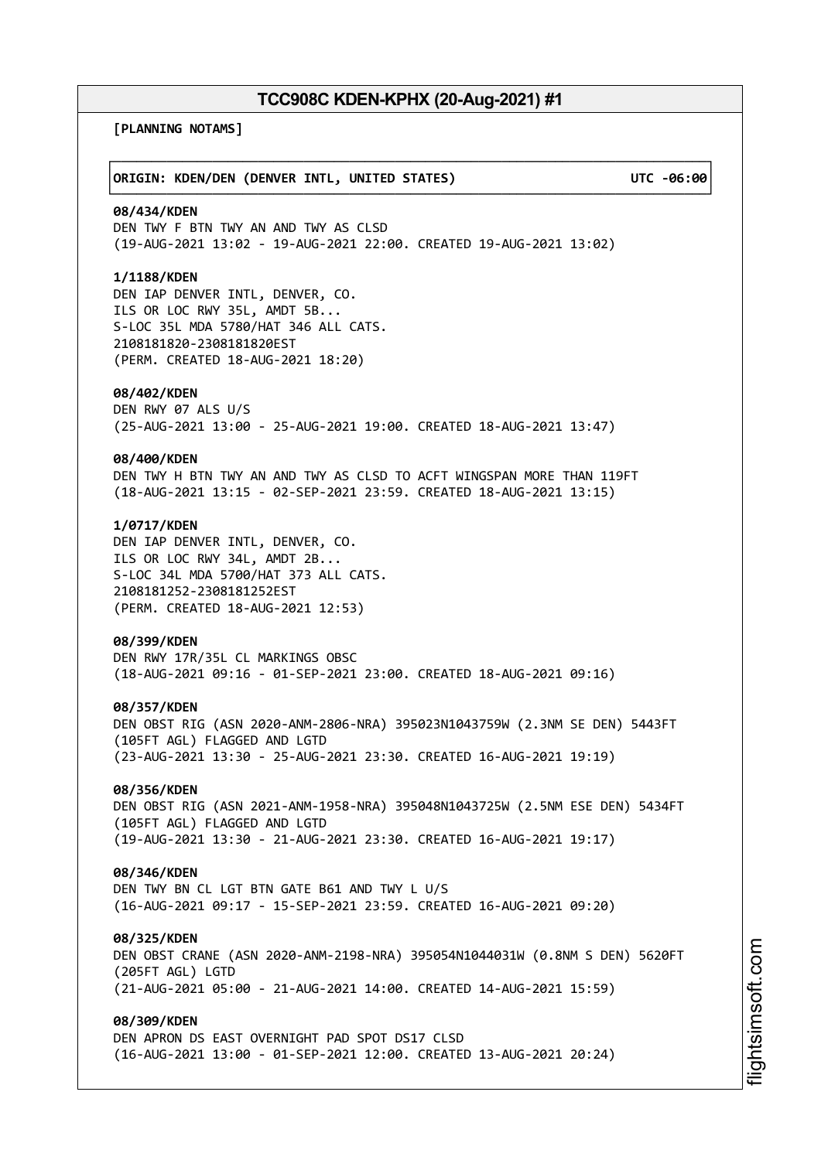┌──────────────────────────────────────────────────────────────────────────────┐

└──────────────────────────────────────────────────────────────────────────────┘

**[PLANNING NOTAMS]**

## │**ORIGIN: KDEN/DEN (DENVER INTL, UNITED STATES) UTC -06:00**│

## **08/434/KDEN**

DEN TWY F BTN TWY AN AND TWY AS CLSD (19-AUG-2021 13:02 - 19-AUG-2021 22:00. CREATED 19-AUG-2021 13:02)

## **1/1188/KDEN**

DEN IAP DENVER INTL, DENVER, CO. ILS OR LOC RWY 35L, AMDT 5B... S-LOC 35L MDA 5780/HAT 346 ALL CATS. 2108181820-2308181820EST (PERM. CREATED 18-AUG-2021 18:20)

#### **08/402/KDEN**

DEN RWY 07 ALS U/S (25-AUG-2021 13:00 - 25-AUG-2021 19:00. CREATED 18-AUG-2021 13:47)

#### **08/400/KDEN**

DEN TWY H BTN TWY AN AND TWY AS CLSD TO ACFT WINGSPAN MORE THAN 119FT (18-AUG-2021 13:15 - 02-SEP-2021 23:59. CREATED 18-AUG-2021 13:15)

## **1/0717/KDEN**

DEN IAP DENVER INTL, DENVER, CO. ILS OR LOC RWY 34L, AMDT 2B... S-LOC 34L MDA 5700/HAT 373 ALL CATS. 2108181252-2308181252EST (PERM. CREATED 18-AUG-2021 12:53)

#### **08/399/KDEN**

DEN RWY 17R/35L CL MARKINGS OBSC (18-AUG-2021 09:16 - 01-SEP-2021 23:00. CREATED 18-AUG-2021 09:16)

#### **08/357/KDEN**

DEN OBST RIG (ASN 2020-ANM-2806-NRA) 395023N1043759W (2.3NM SE DEN) 5443FT (105FT AGL) FLAGGED AND LGTD (23-AUG-2021 13:30 - 25-AUG-2021 23:30. CREATED 16-AUG-2021 19:19)

# **08/356/KDEN**

DEN OBST RIG (ASN 2021-ANM-1958-NRA) 395048N1043725W (2.5NM ESE DEN) 5434FT (105FT AGL) FLAGGED AND LGTD (19-AUG-2021 13:30 - 21-AUG-2021 23:30. CREATED 16-AUG-2021 19:17)

### **08/346/KDEN**

DEN TWY BN CL LGT BTN GATE B61 AND TWY L U/S (16-AUG-2021 09:17 - 15-SEP-2021 23:59. CREATED 16-AUG-2021 09:20)

#### **08/325/KDEN**

DEN OBST CRANE (ASN 2020-ANM-2198-NRA) 395054N1044031W (0.8NM S DEN) 5620FT (205FT AGL) LGTD (21-AUG-2021 05:00 - 21-AUG-2021 14:00. CREATED 14-AUG-2021 15:59)

# **08/309/KDEN**

DEN APRON DS EAST OVERNIGHT PAD SPOT DS17 CLSD (16-AUG-2021 13:00 - 01-SEP-2021 12:00. CREATED 13-AUG-2021 20:24)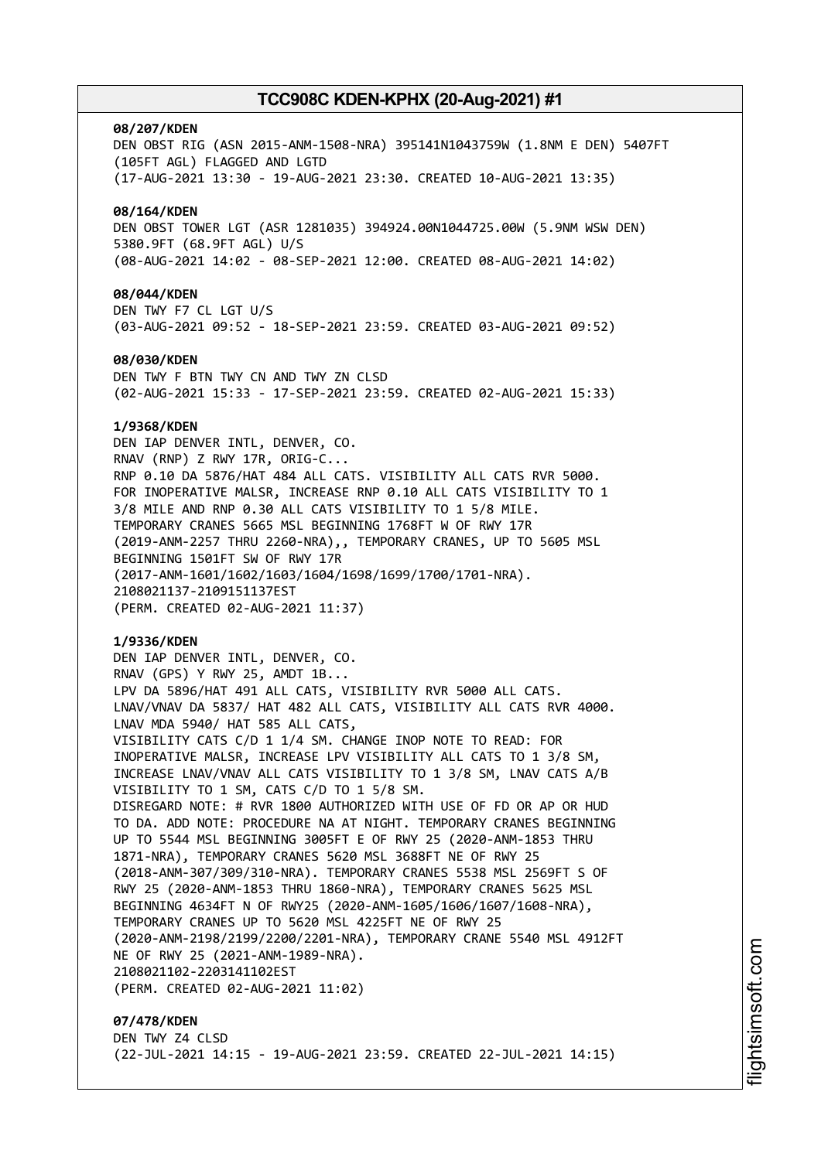#### **08/207/KDEN**

DEN OBST RIG (ASN 2015-ANM-1508-NRA) 395141N1043759W (1.8NM E DEN) 5407FT (105FT AGL) FLAGGED AND LGTD (17-AUG-2021 13:30 - 19-AUG-2021 23:30. CREATED 10-AUG-2021 13:35) **08/164/KDEN** DEN OBST TOWER LGT (ASR 1281035) 394924.00N1044725.00W (5.9NM WSW DEN) 5380.9FT (68.9FT AGL) U/S (08-AUG-2021 14:02 - 08-SEP-2021 12:00. CREATED 08-AUG-2021 14:02) **08/044/KDEN** DEN TWY F7 CL LGT U/S (03-AUG-2021 09:52 - 18-SEP-2021 23:59. CREATED 03-AUG-2021 09:52) **08/030/KDEN** DEN TWY F BTN TWY CN AND TWY ZN CLSD (02-AUG-2021 15:33 - 17-SEP-2021 23:59. CREATED 02-AUG-2021 15:33)

#### **1/9368/KDEN**

DEN IAP DENVER INTL, DENVER, CO. RNAV (RNP) Z RWY 17R, ORIG-C... RNP 0.10 DA 5876/HAT 484 ALL CATS. VISIBILITY ALL CATS RVR 5000. FOR INOPERATIVE MALSR, INCREASE RNP 0.10 ALL CATS VISIBILITY TO 1 3/8 MILE AND RNP 0.30 ALL CATS VISIBILITY TO 1 5/8 MILE. TEMPORARY CRANES 5665 MSL BEGINNING 1768FT W OF RWY 17R (2019-ANM-2257 THRU 2260-NRA),, TEMPORARY CRANES, UP TO 5605 MSL BEGINNING 1501FT SW OF RWY 17R (2017-ANM-1601/1602/1603/1604/1698/1699/1700/1701-NRA). 2108021137-2109151137EST (PERM. CREATED 02-AUG-2021 11:37)

#### **1/9336/KDEN**

DEN IAP DENVER INTL, DENVER, CO. RNAV (GPS) Y RWY 25, AMDT 1B... LPV DA 5896/HAT 491 ALL CATS, VISIBILITY RVR 5000 ALL CATS. LNAV/VNAV DA 5837/ HAT 482 ALL CATS, VISIBILITY ALL CATS RVR 4000. LNAV MDA 5940/ HAT 585 ALL CATS, VISIBILITY CATS C/D 1 1/4 SM. CHANGE INOP NOTE TO READ: FOR INOPERATIVE MALSR, INCREASE LPV VISIBILITY ALL CATS TO 1 3/8 SM, INCREASE LNAV/VNAV ALL CATS VISIBILITY TO 1 3/8 SM, LNAV CATS A/B VISIBILITY TO 1 SM, CATS C/D TO 1 5/8 SM. DISREGARD NOTE: # RVR 1800 AUTHORIZED WITH USE OF FD OR AP OR HUD TO DA. ADD NOTE: PROCEDURE NA AT NIGHT. TEMPORARY CRANES BEGINNING UP TO 5544 MSL BEGINNING 3005FT E OF RWY 25 (2020-ANM-1853 THRU 1871-NRA), TEMPORARY CRANES 5620 MSL 3688FT NE OF RWY 25 (2018-ANM-307/309/310-NRA). TEMPORARY CRANES 5538 MSL 2569FT S OF RWY 25 (2020-ANM-1853 THRU 1860-NRA), TEMPORARY CRANES 5625 MSL BEGINNING 4634FT N OF RWY25 (2020-ANM-1605/1606/1607/1608-NRA), TEMPORARY CRANES UP TO 5620 MSL 4225FT NE OF RWY 25 (2020-ANM-2198/2199/2200/2201-NRA), TEMPORARY CRANE 5540 MSL 4912FT NE OF RWY 25 (2021-ANM-1989-NRA). 2108021102-2203141102EST (PERM. CREATED 02-AUG-2021 11:02)

**07/478/KDEN** DEN TWY Z4 CLSD (22-JUL-2021 14:15 - 19-AUG-2021 23:59. CREATED 22-JUL-2021 14:15)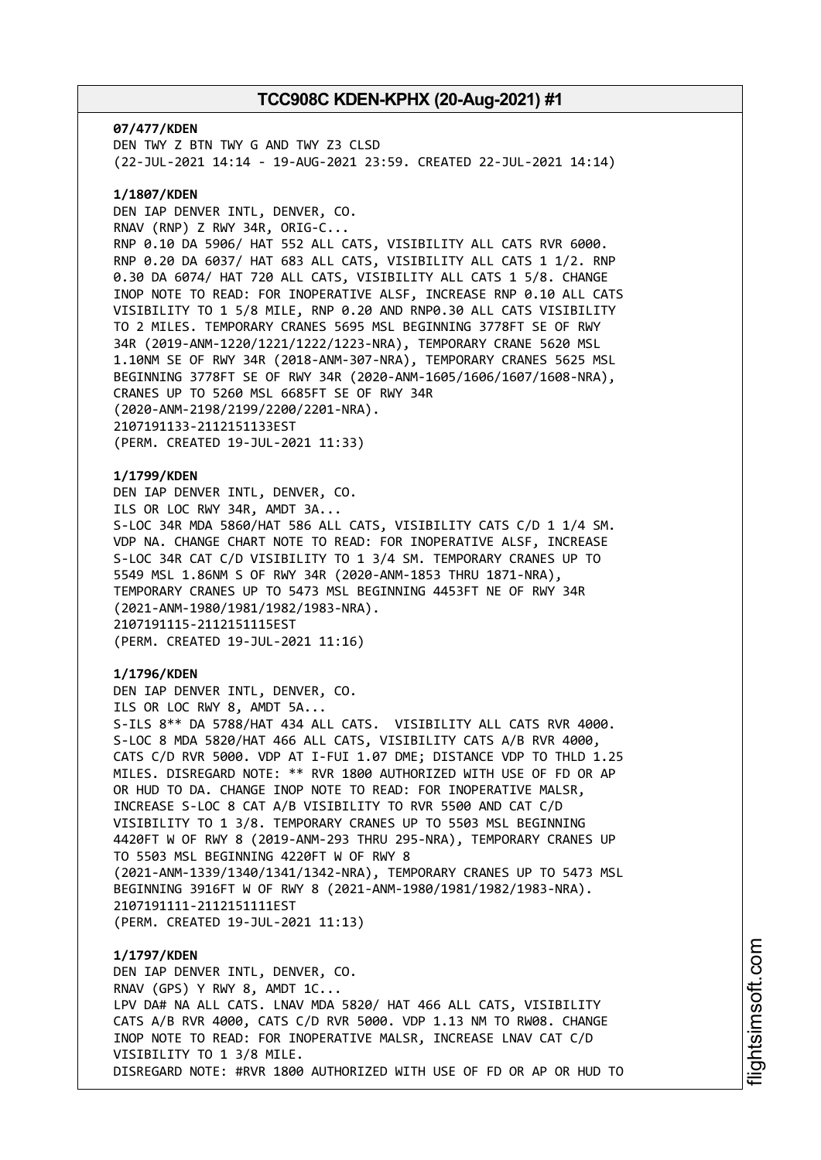**07/477/KDEN** DEN TWY Z BTN TWY G AND TWY Z3 CLSD (22-JUL-2021 14:14 - 19-AUG-2021 23:59. CREATED 22-JUL-2021 14:14)

## **1/1807/KDEN**

DEN IAP DENVER INTL, DENVER, CO. RNAV (RNP) Z RWY 34R, ORIG-C... RNP 0.10 DA 5906/ HAT 552 ALL CATS, VISIBILITY ALL CATS RVR 6000. RNP 0.20 DA 6037/ HAT 683 ALL CATS, VISIBILITY ALL CATS 1 1/2. RNP 0.30 DA 6074/ HAT 720 ALL CATS, VISIBILITY ALL CATS 1 5/8. CHANGE INOP NOTE TO READ: FOR INOPERATIVE ALSF, INCREASE RNP 0.10 ALL CATS VISIBILITY TO 1 5/8 MILE, RNP 0.20 AND RNP0.30 ALL CATS VISIBILITY TO 2 MILES. TEMPORARY CRANES 5695 MSL BEGINNING 3778FT SE OF RWY 34R (2019-ANM-1220/1221/1222/1223-NRA), TEMPORARY CRANE 5620 MSL 1.10NM SE OF RWY 34R (2018-ANM-307-NRA), TEMPORARY CRANES 5625 MSL BEGINNING 3778FT SE OF RWY 34R (2020-ANM-1605/1606/1607/1608-NRA), CRANES UP TO 5260 MSL 6685FT SE OF RWY 34R (2020-ANM-2198/2199/2200/2201-NRA). 2107191133-2112151133EST (PERM. CREATED 19-JUL-2021 11:33)

# **1/1799/KDEN**

DEN IAP DENVER INTL, DENVER, CO. ILS OR LOC RWY 34R, AMDT 3A... S-LOC 34R MDA 5860/HAT 586 ALL CATS, VISIBILITY CATS C/D 1 1/4 SM. VDP NA. CHANGE CHART NOTE TO READ: FOR INOPERATIVE ALSF, INCREASE S-LOC 34R CAT C/D VISIBILITY TO 1 3/4 SM. TEMPORARY CRANES UP TO 5549 MSL 1.86NM S OF RWY 34R (2020-ANM-1853 THRU 1871-NRA), TEMPORARY CRANES UP TO 5473 MSL BEGINNING 4453FT NE OF RWY 34R (2021-ANM-1980/1981/1982/1983-NRA). 2107191115-2112151115EST (PERM. CREATED 19-JUL-2021 11:16)

## **1/1796/KDEN**

DEN IAP DENVER INTL, DENVER, CO. ILS OR LOC RWY 8, AMDT 5A... S-ILS 8\*\* DA 5788/HAT 434 ALL CATS. VISIBILITY ALL CATS RVR 4000. S-LOC 8 MDA 5820/HAT 466 ALL CATS, VISIBILITY CATS A/B RVR 4000, CATS C/D RVR 5000. VDP AT I-FUI 1.07 DME; DISTANCE VDP TO THLD 1.25 MILES. DISREGARD NOTE: \*\* RVR 1800 AUTHORIZED WITH USE OF FD OR AP OR HUD TO DA. CHANGE INOP NOTE TO READ: FOR INOPERATIVE MALSR, INCREASE S-LOC 8 CAT A/B VISIBILITY TO RVR 5500 AND CAT C/D VISIBILITY TO 1 3/8. TEMPORARY CRANES UP TO 5503 MSL BEGINNING 4420FT W OF RWY 8 (2019-ANM-293 THRU 295-NRA), TEMPORARY CRANES UP TO 5503 MSL BEGINNING 4220FT W OF RWY 8 (2021-ANM-1339/1340/1341/1342-NRA), TEMPORARY CRANES UP TO 5473 MSL BEGINNING 3916FT W OF RWY 8 (2021-ANM-1980/1981/1982/1983-NRA). 2107191111-2112151111EST (PERM. CREATED 19-JUL-2021 11:13)

# **1/1797/KDEN** DEN IAP DENVER INTL, DENVER, CO. RNAV (GPS) Y RWY 8, AMDT 1C... LPV DA# NA ALL CATS. LNAV MDA 5820/ HAT 466 ALL CATS, VISIBILITY CATS A/B RVR 4000, CATS C/D RVR 5000. VDP 1.13 NM TO RW08. CHANGE INOP NOTE TO READ: FOR INOPERATIVE MALSR, INCREASE LNAV CAT C/D VISIBILITY TO 1 3/8 MILE. DISREGARD NOTE: #RVR 1800 AUTHORIZED WITH USE OF FD OR AP OR HUD TO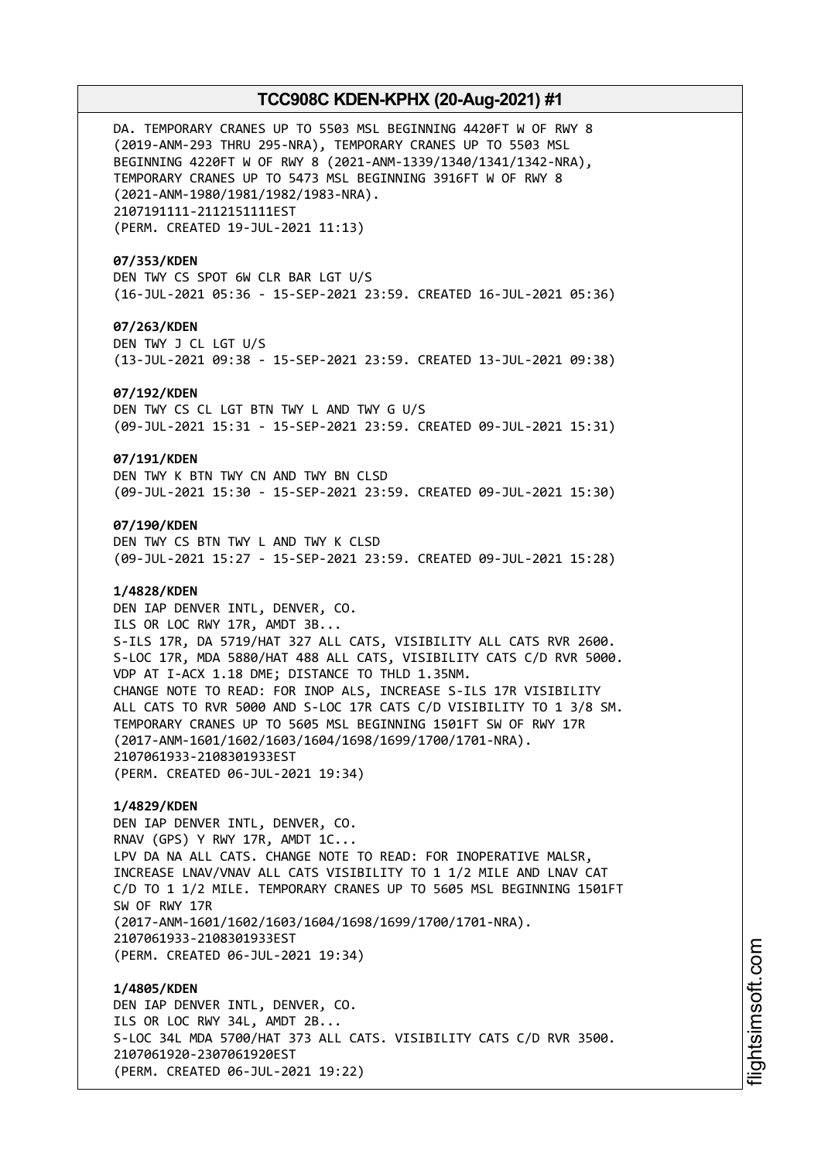DA. TEMPORARY CRANES UP TO 5503 MSL BEGINNING 4420FT W OF RWY 8 (2019-ANM-293 THRU 295-NRA), TEMPORARY CRANES UP TO 5503 MSL BEGINNING 4220FT W OF RWY 8 (2021-ANM-1339/1340/1341/1342-NRA), TEMPORARY CRANES UP TO 5473 MSL BEGINNING 3916FT W OF RWY 8 (2021-ANM-1980/1981/1982/1983-NRA). 2107191111-2112151111EST (PERM. CREATED 19-JUL-2021 11:13)

## **07/353/KDEN**

DEN TWY CS SPOT 6W CLR BAR LGT U/S (16-JUL-2021 05:36 - 15-SEP-2021 23:59. CREATED 16-JUL-2021 05:36)

## **07/263/KDEN**

DEN TWY J CL LGT U/S (13-JUL-2021 09:38 - 15-SEP-2021 23:59. CREATED 13-JUL-2021 09:38)

#### **07/192/KDEN**

DEN TWY CS CL LGT BTN TWY L AND TWY G U/S (09-JUL-2021 15:31 - 15-SEP-2021 23:59. CREATED 09-JUL-2021 15:31)

#### **07/191/KDEN**

DEN TWY K BTN TWY CN AND TWY BN CLSD (09-JUL-2021 15:30 - 15-SEP-2021 23:59. CREATED 09-JUL-2021 15:30)

## **07/190/KDEN**

DEN TWY CS BTN TWY L AND TWY K CLSD (09-JUL-2021 15:27 - 15-SEP-2021 23:59. CREATED 09-JUL-2021 15:28)

## **1/4828/KDEN**

DEN IAP DENVER INTL, DENVER, CO. ILS OR LOC RWY 17R, AMDT 3B... S-ILS 17R, DA 5719/HAT 327 ALL CATS, VISIBILITY ALL CATS RVR 2600. S-LOC 17R, MDA 5880/HAT 488 ALL CATS, VISIBILITY CATS C/D RVR 5000. VDP AT I-ACX 1.18 DME; DISTANCE TO THLD 1.35NM. CHANGE NOTE TO READ: FOR INOP ALS, INCREASE S-ILS 17R VISIBILITY ALL CATS TO RVR 5000 AND S-LOC 17R CATS C/D VISIBILITY TO 1 3/8 SM. TEMPORARY CRANES UP TO 5605 MSL BEGINNING 1501FT SW OF RWY 17R (2017-ANM-1601/1602/1603/1604/1698/1699/1700/1701-NRA). 2107061933-2108301933EST (PERM. CREATED 06-JUL-2021 19:34)

## **1/4829/KDEN**

DEN IAP DENVER INTL, DENVER, CO. RNAV (GPS) Y RWY 17R, AMDT 1C... LPV DA NA ALL CATS. CHANGE NOTE TO READ: FOR INOPERATIVE MALSR, INCREASE LNAV/VNAV ALL CATS VISIBILITY TO 1 1/2 MILE AND LNAV CAT C/D TO 1 1/2 MILE. TEMPORARY CRANES UP TO 5605 MSL BEGINNING 1501FT SW OF RWY 17R (2017-ANM-1601/1602/1603/1604/1698/1699/1700/1701-NRA). 2107061933-2108301933EST (PERM. CREATED 06-JUL-2021 19:34)

**1/4805/KDEN** DEN IAP DENVER INTL, DENVER, CO. ILS OR LOC RWY 34L, AMDT 2B... S-LOC 34L MDA 5700/HAT 373 ALL CATS. VISIBILITY CATS C/D RVR 3500. 2107061920-2307061920EST (PERM. CREATED 06-JUL-2021 19:22)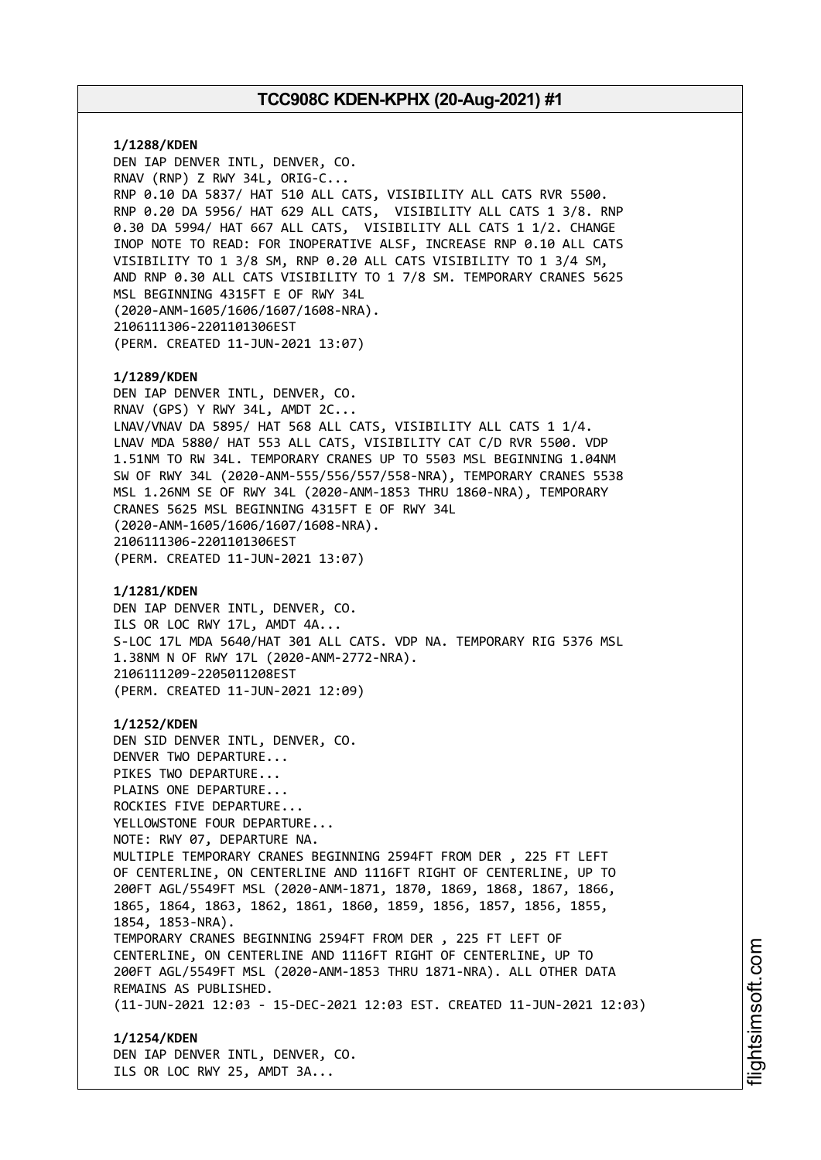**1/1288/KDEN** DEN IAP DENVER INTL, DENVER, CO. RNAV (RNP) Z RWY 34L, ORIG-C... RNP 0.10 DA 5837/ HAT 510 ALL CATS, VISIBILITY ALL CATS RVR 5500. RNP 0.20 DA 5956/ HAT 629 ALL CATS, VISIBILITY ALL CATS 1 3/8. RNP 0.30 DA 5994/ HAT 667 ALL CATS, VISIBILITY ALL CATS 1 1/2. CHANGE INOP NOTE TO READ: FOR INOPERATIVE ALSF, INCREASE RNP 0.10 ALL CATS VISIBILITY TO 1 3/8 SM, RNP 0.20 ALL CATS VISIBILITY TO 1 3/4 SM, AND RNP 0.30 ALL CATS VISIBILITY TO 1 7/8 SM. TEMPORARY CRANES 5625 MSL BEGINNING 4315FT E OF RWY 34L (2020-ANM-1605/1606/1607/1608-NRA). 2106111306-2201101306EST (PERM. CREATED 11-JUN-2021 13:07) **1/1289/KDEN** DEN IAP DENVER INTL, DENVER, CO. RNAV (GPS) Y RWY 34L, AMDT 2C... LNAV/VNAV DA 5895/ HAT 568 ALL CATS, VISIBILITY ALL CATS 1 1/4. LNAV MDA 5880/ HAT 553 ALL CATS, VISIBILITY CAT C/D RVR 5500. VDP 1.51NM TO RW 34L. TEMPORARY CRANES UP TO 5503 MSL BEGINNING 1.04NM SW OF RWY 34L (2020-ANM-555/556/557/558-NRA), TEMPORARY CRANES 5538 MSL 1.26NM SE OF RWY 34L (2020-ANM-1853 THRU 1860-NRA), TEMPORARY CRANES 5625 MSL BEGINNING 4315FT E OF RWY 34L (2020-ANM-1605/1606/1607/1608-NRA). 2106111306-2201101306EST (PERM. CREATED 11-JUN-2021 13:07) **1/1281/KDEN** DEN IAP DENVER INTL, DENVER, CO. ILS OR LOC RWY 17L, AMDT 4A... S-LOC 17L MDA 5640/HAT 301 ALL CATS. VDP NA. TEMPORARY RIG 5376 MSL 1.38NM N OF RWY 17L (2020-ANM-2772-NRA). 2106111209-2205011208EST (PERM. CREATED 11-JUN-2021 12:09) **1/1252/KDEN** DEN SID DENVER INTL, DENVER, CO. DENVER TWO DEPARTURE... PIKES TWO DEPARTURE... PLAINS ONE DEPARTURE... ROCKIES FIVE DEPARTURE... YELLOWSTONE FOUR DEPARTURE... NOTE: RWY 07, DEPARTURE NA. MULTIPLE TEMPORARY CRANES BEGINNING 2594FT FROM DER , 225 FT LEFT OF CENTERLINE, ON CENTERLINE AND 1116FT RIGHT OF CENTERLINE, UP TO 200FT AGL/5549FT MSL (2020-ANM-1871, 1870, 1869, 1868, 1867, 1866, 1865, 1864, 1863, 1862, 1861, 1860, 1859, 1856, 1857, 1856, 1855, 1854, 1853-NRA). TEMPORARY CRANES BEGINNING 2594FT FROM DER , 225 FT LEFT OF CENTERLINE, ON CENTERLINE AND 1116FT RIGHT OF CENTERLINE, UP TO 200FT AGL/5549FT MSL (2020-ANM-1853 THRU 1871-NRA). ALL OTHER DATA REMAINS AS PUBLISHED. (11-JUN-2021 12:03 - 15-DEC-2021 12:03 EST. CREATED 11-JUN-2021 12:03) **1/1254/KDEN** DEN IAP DENVER INTL, DENVER, CO.

ILS OR LOC RWY 25, AMDT 3A...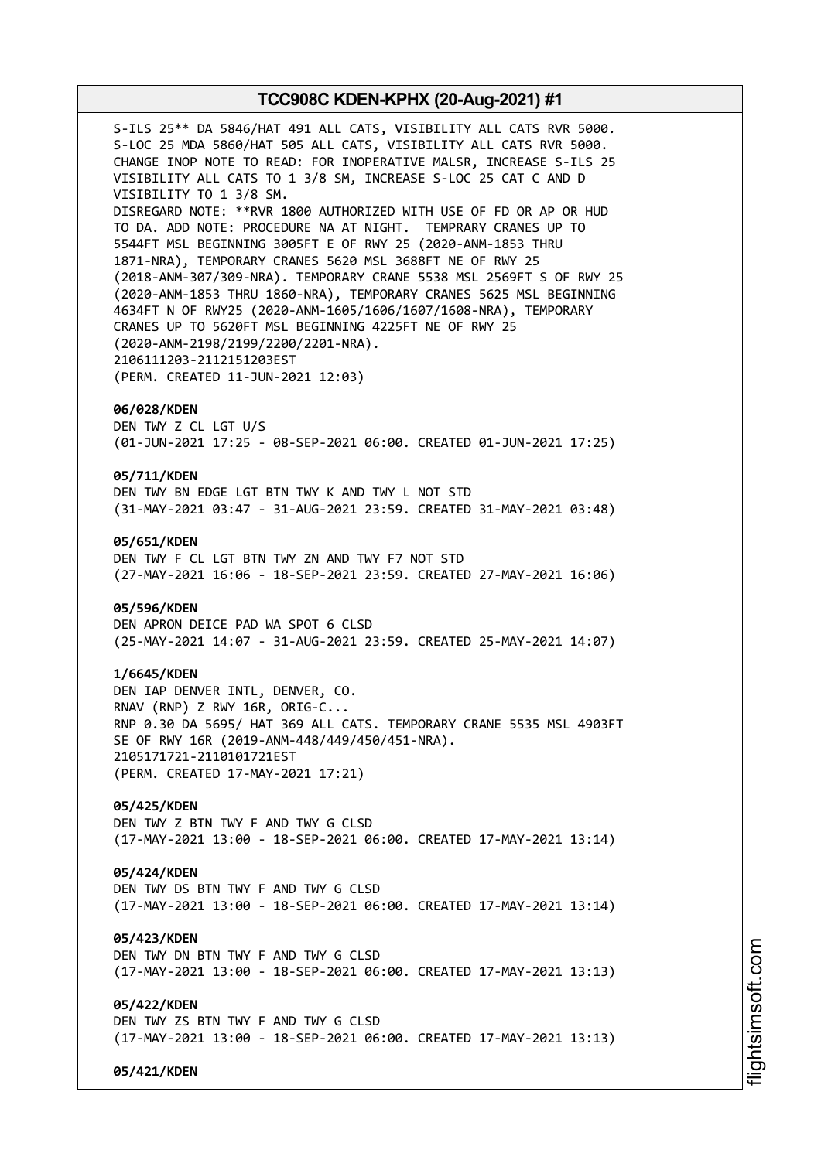S-ILS 25\*\* DA 5846/HAT 491 ALL CATS, VISIBILITY ALL CATS RVR 5000. S-LOC 25 MDA 5860/HAT 505 ALL CATS, VISIBILITY ALL CATS RVR 5000. CHANGE INOP NOTE TO READ: FOR INOPERATIVE MALSR, INCREASE S-ILS 25 VISIBILITY ALL CATS TO 1 3/8 SM, INCREASE S-LOC 25 CAT C AND D VISIBILITY TO 1 3/8 SM. DISREGARD NOTE: \*\*RVR 1800 AUTHORIZED WITH USE OF FD OR AP OR HUD TO DA. ADD NOTE: PROCEDURE NA AT NIGHT. TEMPRARY CRANES UP TO 5544FT MSL BEGINNING 3005FT E OF RWY 25 (2020-ANM-1853 THRU 1871-NRA), TEMPORARY CRANES 5620 MSL 3688FT NE OF RWY 25 (2018-ANM-307/309-NRA). TEMPORARY CRANE 5538 MSL 2569FT S OF RWY 25 (2020-ANM-1853 THRU 1860-NRA), TEMPORARY CRANES 5625 MSL BEGINNING 4634FT N OF RWY25 (2020-ANM-1605/1606/1607/1608-NRA), TEMPORARY CRANES UP TO 5620FT MSL BEGINNING 4225FT NE OF RWY 25 (2020-ANM-2198/2199/2200/2201-NRA). 2106111203-2112151203EST (PERM. CREATED 11-JUN-2021 12:03) **06/028/KDEN** DEN TWY Z CL LGT U/S (01-JUN-2021 17:25 - 08-SEP-2021 06:00. CREATED 01-JUN-2021 17:25) **05/711/KDEN** DEN TWY BN EDGE LGT BTN TWY K AND TWY L NOT STD (31-MAY-2021 03:47 - 31-AUG-2021 23:59. CREATED 31-MAY-2021 03:48) **05/651/KDEN** DEN TWY F CL LGT BTN TWY ZN AND TWY F7 NOT STD (27-MAY-2021 16:06 - 18-SEP-2021 23:59. CREATED 27-MAY-2021 16:06) **05/596/KDEN** DEN APRON DEICE PAD WA SPOT 6 CLSD (25-MAY-2021 14:07 - 31-AUG-2021 23:59. CREATED 25-MAY-2021 14:07) **1/6645/KDEN** DEN IAP DENVER INTL, DENVER, CO. RNAV (RNP) Z RWY 16R, ORIG-C...

RNP 0.30 DA 5695/ HAT 369 ALL CATS. TEMPORARY CRANE 5535 MSL 4903FT SE OF RWY 16R (2019-ANM-448/449/450/451-NRA). 2105171721-2110101721EST (PERM. CREATED 17-MAY-2021 17:21)

**05/425/KDEN** DEN TWY Z BTN TWY F AND TWY G CLSD (17-MAY-2021 13:00 - 18-SEP-2021 06:00. CREATED 17-MAY-2021 13:14)

### **05/424/KDEN**

DEN TWY DS BTN TWY F AND TWY G CLSD (17-MAY-2021 13:00 - 18-SEP-2021 06:00. CREATED 17-MAY-2021 13:14)

**05/423/KDEN** DEN TWY DN BTN TWY F AND TWY G CLSD (17-MAY-2021 13:00 - 18-SEP-2021 06:00. CREATED 17-MAY-2021 13:13)

**05/422/KDEN**

DEN TWY ZS BTN TWY F AND TWY G CLSD (17-MAY-2021 13:00 - 18-SEP-2021 06:00. CREATED 17-MAY-2021 13:13)

**05/421/KDEN**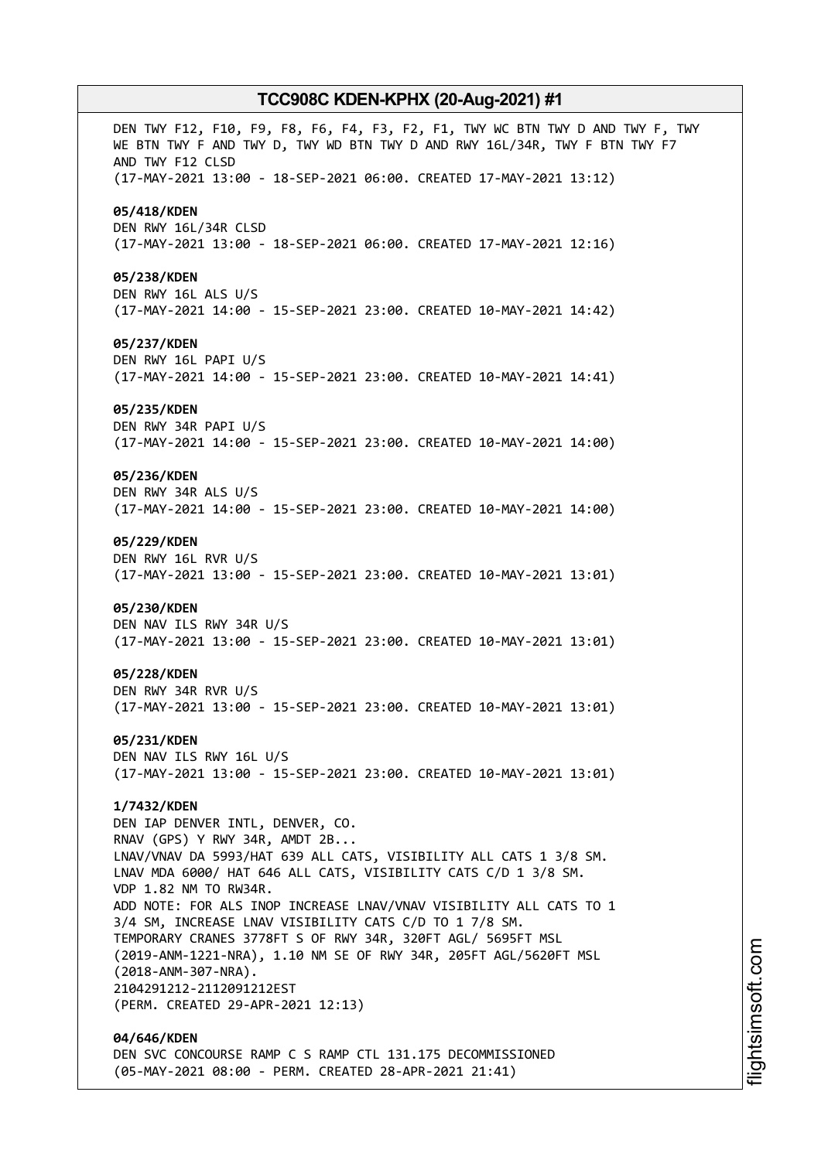DEN TWY F12, F10, F9, F8, F6, F4, F3, F2, F1, TWY WC BTN TWY D AND TWY F, TWY WE BTN TWY F AND TWY D, TWY WD BTN TWY D AND RWY 16L/34R, TWY F BTN TWY F7 AND TWY F12 CLSD (17-MAY-2021 13:00 - 18-SEP-2021 06:00. CREATED 17-MAY-2021 13:12) **05/418/KDEN** DEN RWY 16L/34R CLSD (17-MAY-2021 13:00 - 18-SEP-2021 06:00. CREATED 17-MAY-2021 12:16) **05/238/KDEN** DEN RWY 16L ALS U/S (17-MAY-2021 14:00 - 15-SEP-2021 23:00. CREATED 10-MAY-2021 14:42) **05/237/KDEN** DEN RWY 16L PAPI U/S (17-MAY-2021 14:00 - 15-SEP-2021 23:00. CREATED 10-MAY-2021 14:41) **05/235/KDEN** DEN RWY 34R PAPI U/S (17-MAY-2021 14:00 - 15-SEP-2021 23:00. CREATED 10-MAY-2021 14:00) **05/236/KDEN** DEN RWY 34R ALS U/S (17-MAY-2021 14:00 - 15-SEP-2021 23:00. CREATED 10-MAY-2021 14:00) **05/229/KDEN** DEN RWY 16L RVR U/S (17-MAY-2021 13:00 - 15-SEP-2021 23:00. CREATED 10-MAY-2021 13:01) **05/230/KDEN** DEN NAV ILS RWY 34R U/S (17-MAY-2021 13:00 - 15-SEP-2021 23:00. CREATED 10-MAY-2021 13:01) **05/228/KDEN** DEN RWY 34R RVR U/S (17-MAY-2021 13:00 - 15-SEP-2021 23:00. CREATED 10-MAY-2021 13:01) **05/231/KDEN** DEN NAV ILS RWY 16L U/S (17-MAY-2021 13:00 - 15-SEP-2021 23:00. CREATED 10-MAY-2021 13:01) **1/7432/KDEN** DEN IAP DENVER INTL, DENVER, CO. RNAV (GPS) Y RWY 34R, AMDT 2B... LNAV/VNAV DA 5993/HAT 639 ALL CATS, VISIBILITY ALL CATS 1 3/8 SM. LNAV MDA 6000/ HAT 646 ALL CATS, VISIBILITY CATS C/D 1 3/8 SM. VDP 1.82 NM TO RW34R. ADD NOTE: FOR ALS INOP INCREASE LNAV/VNAV VISIBILITY ALL CATS TO 1 3/4 SM, INCREASE LNAV VISIBILITY CATS C/D TO 1 7/8 SM. TEMPORARY CRANES 3778FT S OF RWY 34R, 320FT AGL/ 5695FT MSL (2019-ANM-1221-NRA), 1.10 NM SE OF RWY 34R, 205FT AGL/5620FT MSL (2018-ANM-307-NRA). 2104291212-2112091212EST (PERM. CREATED 29-APR-2021 12:13) **04/646/KDEN** DEN SVC CONCOURSE RAMP C S RAMP CTL 131.175 DECOMMISSIONED

(05-MAY-2021 08:00 - PERM. CREATED 28-APR-2021 21:41)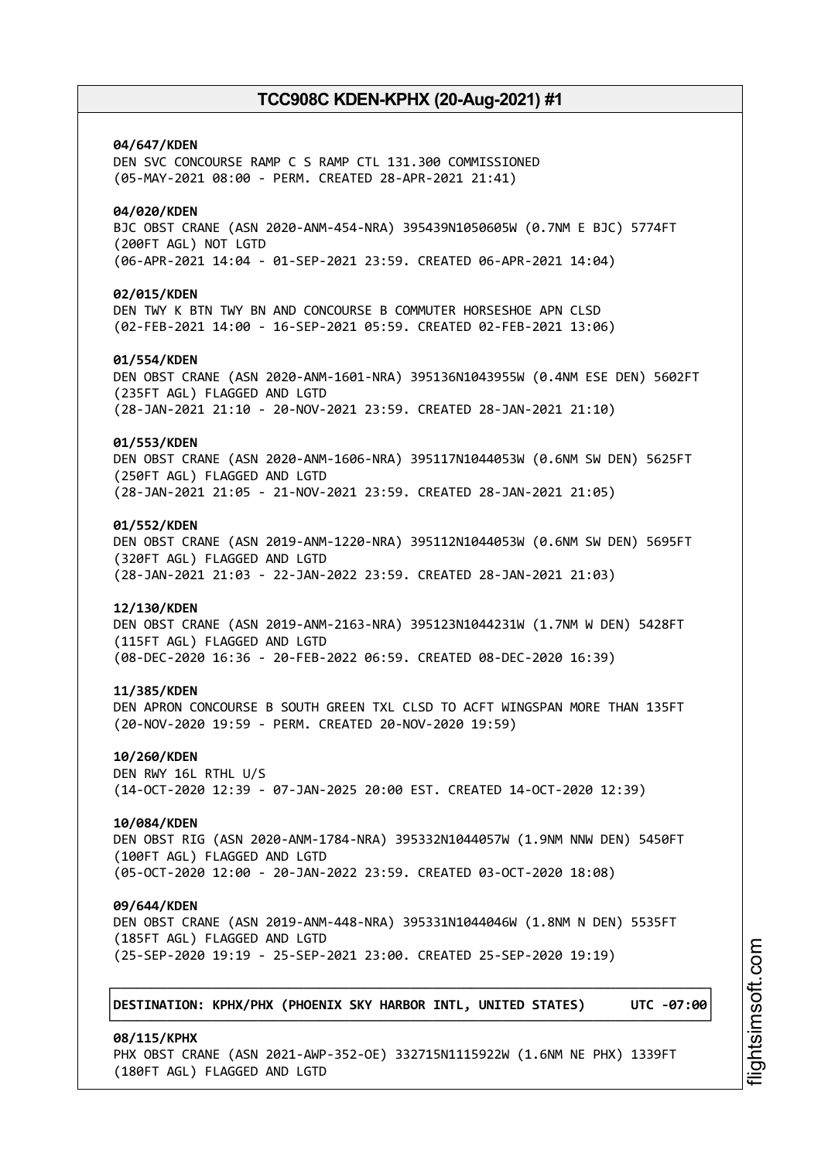**04/647/KDEN** DEN SVC CONCOURSE RAMP C S RAMP CTL 131.300 COMMISSIONED (05-MAY-2021 08:00 - PERM. CREATED 28-APR-2021 21:41) **04/020/KDEN** BJC OBST CRANE (ASN 2020-ANM-454-NRA) 395439N1050605W (0.7NM E BJC) 5774FT (200FT AGL) NOT LGTD (06-APR-2021 14:04 - 01-SEP-2021 23:59. CREATED 06-APR-2021 14:04) **02/015/KDEN** DEN TWY K BTN TWY BN AND CONCOURSE B COMMUTER HORSESHOE APN CLSD (02-FEB-2021 14:00 - 16-SEP-2021 05:59. CREATED 02-FEB-2021 13:06) **01/554/KDEN** DEN OBST CRANE (ASN 2020-ANM-1601-NRA) 395136N1043955W (0.4NM ESE DEN) 5602FT (235FT AGL) FLAGGED AND LGTD (28-JAN-2021 21:10 - 20-NOV-2021 23:59. CREATED 28-JAN-2021 21:10) **01/553/KDEN** DEN OBST CRANE (ASN 2020-ANM-1606-NRA) 395117N1044053W (0.6NM SW DEN) 5625FT (250FT AGL) FLAGGED AND LGTD (28-JAN-2021 21:05 - 21-NOV-2021 23:59. CREATED 28-JAN-2021 21:05) **01/552/KDEN** DEN OBST CRANE (ASN 2019-ANM-1220-NRA) 395112N1044053W (0.6NM SW DEN) 5695FT (320FT AGL) FLAGGED AND LGTD (28-JAN-2021 21:03 - 22-JAN-2022 23:59. CREATED 28-JAN-2021 21:03) **12/130/KDEN** DEN OBST CRANE (ASN 2019-ANM-2163-NRA) 395123N1044231W (1.7NM W DEN) 5428FT (115FT AGL) FLAGGED AND LGTD (08-DEC-2020 16:36 - 20-FEB-2022 06:59. CREATED 08-DEC-2020 16:39) **11/385/KDEN** DEN APRON CONCOURSE B SOUTH GREEN TXL CLSD TO ACFT WINGSPAN MORE THAN 135FT (20-NOV-2020 19:59 - PERM. CREATED 20-NOV-2020 19:59) **10/260/KDEN** DEN RWY 16L RTHL U/S (14-OCT-2020 12:39 - 07-JAN-2025 20:00 EST. CREATED 14-OCT-2020 12:39) **10/084/KDEN** DEN OBST RIG (ASN 2020-ANM-1784-NRA) 395332N1044057W (1.9NM NNW DEN) 5450FT (100FT AGL) FLAGGED AND LGTD (05-OCT-2020 12:00 - 20-JAN-2022 23:59. CREATED 03-OCT-2020 18:08) **09/644/KDEN** DEN OBST CRANE (ASN 2019-ANM-448-NRA) 395331N1044046W (1.8NM N DEN) 5535FT (185FT AGL) FLAGGED AND LGTD (25-SEP-2020 19:19 - 25-SEP-2021 23:00. CREATED 25-SEP-2020 19:19) ┌──────────────────────────────────────────────────────────────────────────────┐ │**DESTINATION: KPHX/PHX (PHOENIX SKY HARBOR INTL, UNITED STATES) UTC -07:00**│ └──────────────────────────────────────────────────────────────────────────────┘ **08/115/KPHX**

PHX OBST CRANE (ASN 2021-AWP-352-OE) 332715N1115922W (1.6NM NE PHX) 1339FT

(180FT AGL) FLAGGED AND LGTD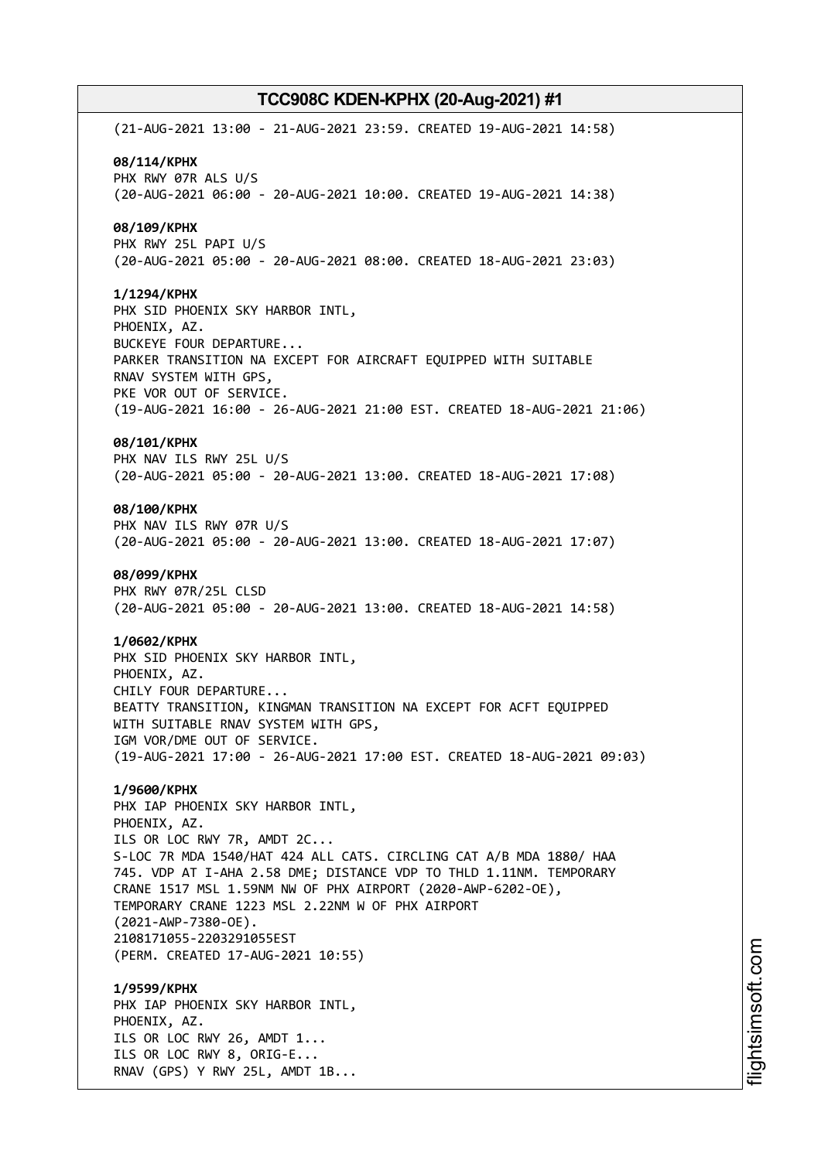(21-AUG-2021 13:00 - 21-AUG-2021 23:59. CREATED 19-AUG-2021 14:58) **08/114/KPHX** PHX RWY 07R ALS U/S (20-AUG-2021 06:00 - 20-AUG-2021 10:00. CREATED 19-AUG-2021 14:38) **08/109/KPHX** PHX RWY 25L PAPI U/S (20-AUG-2021 05:00 - 20-AUG-2021 08:00. CREATED 18-AUG-2021 23:03) **1/1294/KPHX** PHX SID PHOENIX SKY HARBOR INTL, PHOENIX, AZ. BUCKEYE FOUR DEPARTURE... PARKER TRANSITION NA EXCEPT FOR AIRCRAFT EQUIPPED WITH SUITABLE RNAV SYSTEM WITH GPS, PKE VOR OUT OF SERVICE. (19-AUG-2021 16:00 - 26-AUG-2021 21:00 EST. CREATED 18-AUG-2021 21:06) **08/101/KPHX** PHX NAV ILS RWY 25L U/S (20-AUG-2021 05:00 - 20-AUG-2021 13:00. CREATED 18-AUG-2021 17:08) **08/100/KPHX** PHX NAV ILS RWY 07R U/S (20-AUG-2021 05:00 - 20-AUG-2021 13:00. CREATED 18-AUG-2021 17:07) **08/099/KPHX** PHX RWY 07R/25L CLSD (20-AUG-2021 05:00 - 20-AUG-2021 13:00. CREATED 18-AUG-2021 14:58) **1/0602/KPHX** PHX SID PHOENIX SKY HARBOR INTL, PHOENIX, AZ. CHILY FOUR DEPARTURE... BEATTY TRANSITION, KINGMAN TRANSITION NA EXCEPT FOR ACFT EQUIPPED WITH SUITABLE RNAV SYSTEM WITH GPS, IGM VOR/DME OUT OF SERVICE. (19-AUG-2021 17:00 - 26-AUG-2021 17:00 EST. CREATED 18-AUG-2021 09:03) **1/9600/KPHX** PHX IAP PHOENIX SKY HARBOR INTL, PHOENIX, AZ. ILS OR LOC RWY 7R, AMDT 2C... S-LOC 7R MDA 1540/HAT 424 ALL CATS. CIRCLING CAT A/B MDA 1880/ HAA 745. VDP AT I-AHA 2.58 DME; DISTANCE VDP TO THLD 1.11NM. TEMPORARY CRANE 1517 MSL 1.59NM NW OF PHX AIRPORT (2020-AWP-6202-OE), TEMPORARY CRANE 1223 MSL 2.22NM W OF PHX AIRPORT (2021-AWP-7380-OE). 2108171055-2203291055EST (PERM. CREATED 17-AUG-2021 10:55) **1/9599/KPHX** PHX IAP PHOENIX SKY HARBOR INTL, PHOENIX, AZ. ILS OR LOC RWY 26, AMDT 1... ILS OR LOC RWY 8, ORIG-E... RNAV (GPS) Y RWY 25L, AMDT 1B...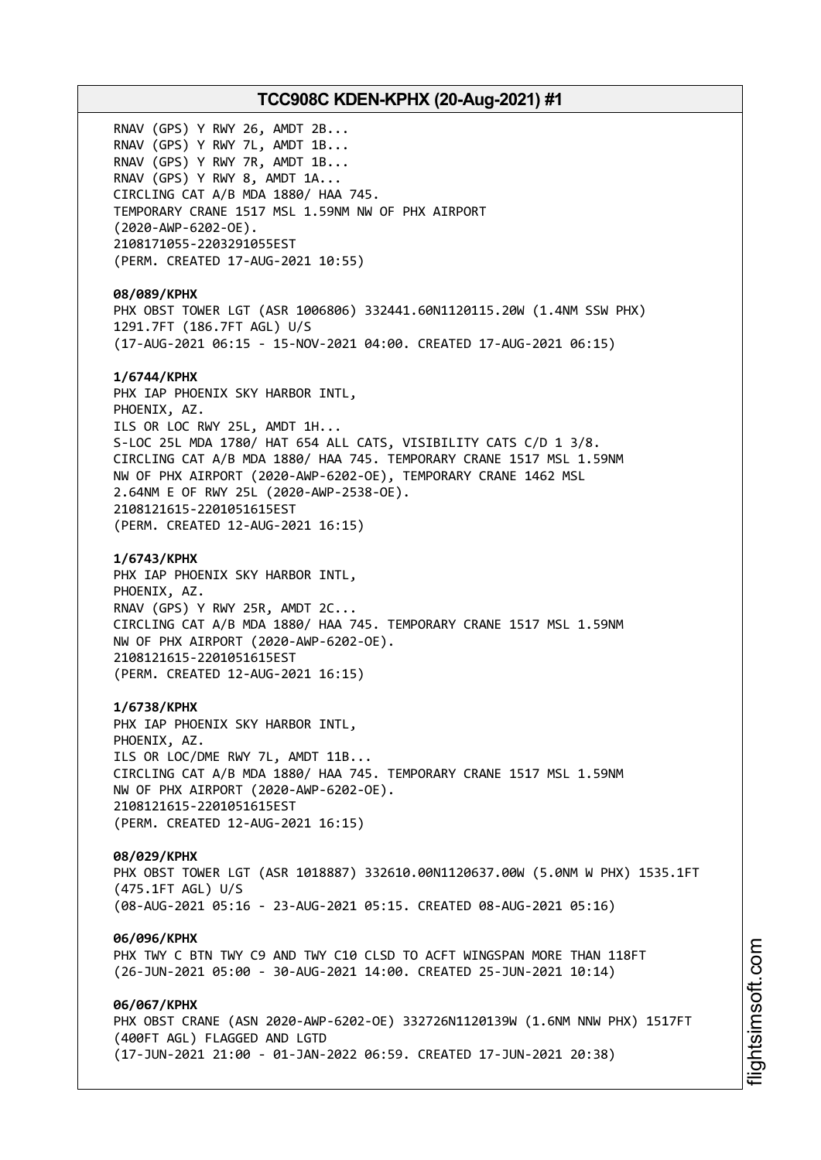RNAV (GPS) Y RWY 26, AMDT 2B... RNAV (GPS) Y RWY 7L, AMDT 1B... RNAV (GPS) Y RWY 7R, AMDT 1B... RNAV (GPS) Y RWY 8, AMDT 1A... CIRCLING CAT A/B MDA 1880/ HAA 745. TEMPORARY CRANE 1517 MSL 1.59NM NW OF PHX AIRPORT (2020-AWP-6202-OE). 2108171055-2203291055EST (PERM. CREATED 17-AUG-2021 10:55) **08/089/KPHX** PHX OBST TOWER LGT (ASR 1006806) 332441.60N1120115.20W (1.4NM SSW PHX) 1291.7FT (186.7FT AGL) U/S (17-AUG-2021 06:15 - 15-NOV-2021 04:00. CREATED 17-AUG-2021 06:15) **1/6744/KPHX** PHX IAP PHOENIX SKY HARBOR INTL, PHOENIX, AZ. ILS OR LOC RWY 25L, AMDT 1H... S-LOC 25L MDA 1780/ HAT 654 ALL CATS, VISIBILITY CATS C/D 1 3/8. CIRCLING CAT A/B MDA 1880/ HAA 745. TEMPORARY CRANE 1517 MSL 1.59NM NW OF PHX AIRPORT (2020-AWP-6202-OE), TEMPORARY CRANE 1462 MSL 2.64NM E OF RWY 25L (2020-AWP-2538-OE). 2108121615-2201051615EST (PERM. CREATED 12-AUG-2021 16:15) **1/6743/KPHX** PHX IAP PHOENIX SKY HARBOR INTL, PHOENIX, AZ. RNAV (GPS) Y RWY 25R, AMDT 2C... CIRCLING CAT A/B MDA 1880/ HAA 745. TEMPORARY CRANE 1517 MSL 1.59NM NW OF PHX AIRPORT (2020-AWP-6202-OE). 2108121615-2201051615EST (PERM. CREATED 12-AUG-2021 16:15) **1/6738/KPHX** PHX IAP PHOENIX SKY HARBOR INTL, PHOENIX, AZ. ILS OR LOC/DME RWY 7L, AMDT 11B... CIRCLING CAT A/B MDA 1880/ HAA 745. TEMPORARY CRANE 1517 MSL 1.59NM NW OF PHX AIRPORT (2020-AWP-6202-OE). 2108121615-2201051615EST (PERM. CREATED 12-AUG-2021 16:15) **08/029/KPHX** PHX OBST TOWER LGT (ASR 1018887) 332610.00N1120637.00W (5.0NM W PHX) 1535.1FT (475.1FT AGL) U/S (08-AUG-2021 05:16 - 23-AUG-2021 05:15. CREATED 08-AUG-2021 05:16) **06/096/KPHX** PHX TWY C BTN TWY C9 AND TWY C10 CLSD TO ACFT WINGSPAN MORE THAN 118FT (26-JUN-2021 05:00 - 30-AUG-2021 14:00. CREATED 25-JUN-2021 10:14) **06/067/KPHX** PHX OBST CRANE (ASN 2020-AWP-6202-OE) 332726N1120139W (1.6NM NNW PHX) 1517FT (400FT AGL) FLAGGED AND LGTD (17-JUN-2021 21:00 - 01-JAN-2022 06:59. CREATED 17-JUN-2021 20:38)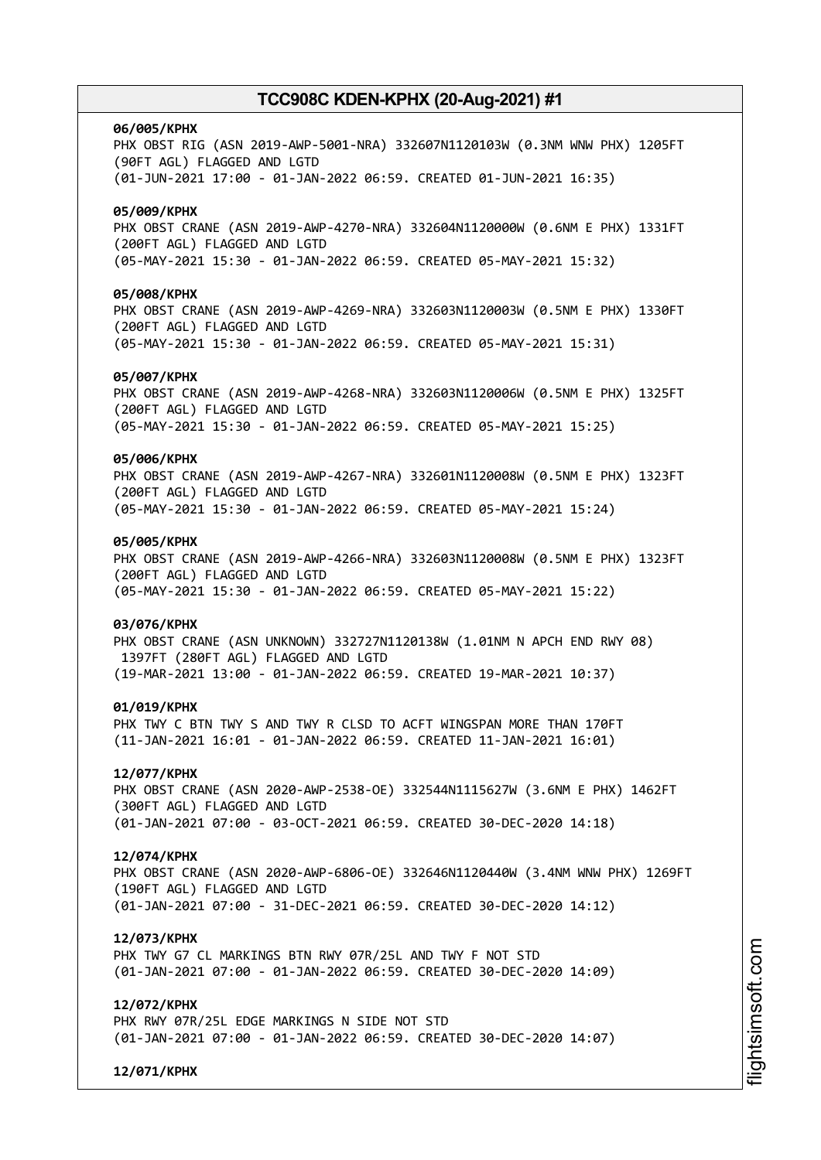# **06/005/KPHX** PHX OBST RIG (ASN 2019-AWP-5001-NRA) 332607N1120103W (0.3NM WNW PHX) 1205FT (90FT AGL) FLAGGED AND LGTD (01-JUN-2021 17:00 - 01-JAN-2022 06:59. CREATED 01-JUN-2021 16:35) **05/009/KPHX** PHX OBST CRANE (ASN 2019-AWP-4270-NRA) 332604N1120000W (0.6NM E PHX) 1331FT (200FT AGL) FLAGGED AND LGTD (05-MAY-2021 15:30 - 01-JAN-2022 06:59. CREATED 05-MAY-2021 15:32) **05/008/KPHX** PHX OBST CRANE (ASN 2019-AWP-4269-NRA) 332603N1120003W (0.5NM E PHX) 1330FT (200FT AGL) FLAGGED AND LGTD (05-MAY-2021 15:30 - 01-JAN-2022 06:59. CREATED 05-MAY-2021 15:31) **05/007/KPHX** PHX OBST CRANE (ASN 2019-AWP-4268-NRA) 332603N1120006W (0.5NM E PHX) 1325FT (200FT AGL) FLAGGED AND LGTD (05-MAY-2021 15:30 - 01-JAN-2022 06:59. CREATED 05-MAY-2021 15:25) **05/006/KPHX** PHX OBST CRANE (ASN 2019-AWP-4267-NRA) 332601N1120008W (0.5NM E PHX) 1323FT (200FT AGL) FLAGGED AND LGTD (05-MAY-2021 15:30 - 01-JAN-2022 06:59. CREATED 05-MAY-2021 15:24) **05/005/KPHX** PHX OBST CRANE (ASN 2019-AWP-4266-NRA) 332603N1120008W (0.5NM E PHX) 1323FT (200FT AGL) FLAGGED AND LGTD (05-MAY-2021 15:30 - 01-JAN-2022 06:59. CREATED 05-MAY-2021 15:22) **03/076/KPHX** PHX OBST CRANE (ASN UNKNOWN) 332727N1120138W (1.01NM N APCH END RWY 08) 1397FT (280FT AGL) FLAGGED AND LGTD (19-MAR-2021 13:00 - 01-JAN-2022 06:59. CREATED 19-MAR-2021 10:37) **01/019/KPHX** PHX TWY C BTN TWY S AND TWY R CLSD TO ACFT WINGSPAN MORE THAN 170FT (11-JAN-2021 16:01 - 01-JAN-2022 06:59. CREATED 11-JAN-2021 16:01) **12/077/KPHX** PHX OBST CRANE (ASN 2020-AWP-2538-OE) 332544N1115627W (3.6NM E PHX) 1462FT (300FT AGL) FLAGGED AND LGTD (01-JAN-2021 07:00 - 03-OCT-2021 06:59. CREATED 30-DEC-2020 14:18) **12/074/KPHX** PHX OBST CRANE (ASN 2020-AWP-6806-OE) 332646N1120440W (3.4NM WNW PHX) 1269FT (190FT AGL) FLAGGED AND LGTD (01-JAN-2021 07:00 - 31-DEC-2021 06:59. CREATED 30-DEC-2020 14:12) **12/073/KPHX** PHX TWY G7 CL MARKINGS BTN RWY 07R/25L AND TWY F NOT STD (01-JAN-2021 07:00 - 01-JAN-2022 06:59. CREATED 30-DEC-2020 14:09) **12/072/KPHX** PHX RWY 07R/25L EDGE MARKINGS N SIDE NOT STD (01-JAN-2021 07:00 - 01-JAN-2022 06:59. CREATED 30-DEC-2020 14:07)

**12/071/KPHX**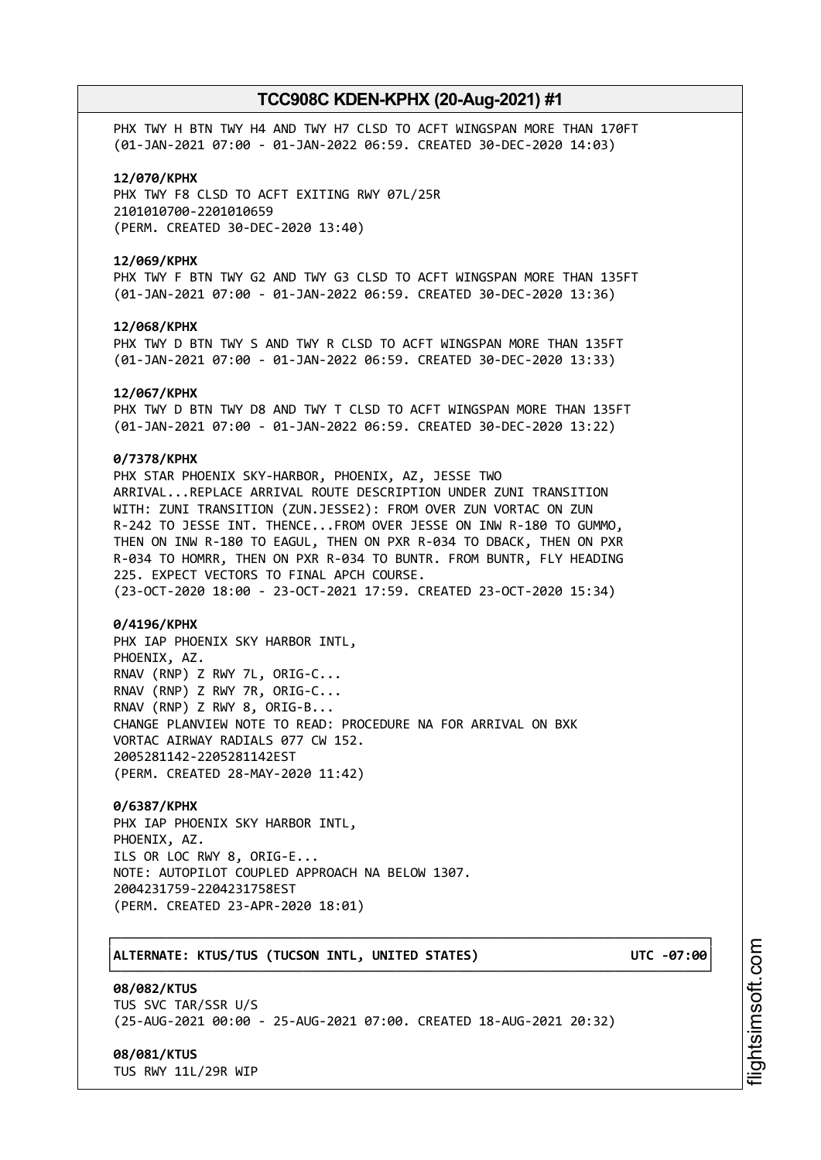PHX TWY H BTN TWY H4 AND TWY H7 CLSD TO ACFT WINGSPAN MORE THAN 170FT (01-JAN-2021 07:00 - 01-JAN-2022 06:59. CREATED 30-DEC-2020 14:03)

#### **12/070/KPHX**

PHX TWY F8 CLSD TO ACFT EXITING RWY 07L/25R 2101010700-2201010659 (PERM. CREATED 30-DEC-2020 13:40)

#### **12/069/KPHX**

PHX TWY F BTN TWY G2 AND TWY G3 CLSD TO ACFT WINGSPAN MORE THAN 135FT (01-JAN-2021 07:00 - 01-JAN-2022 06:59. CREATED 30-DEC-2020 13:36)

#### **12/068/KPHX**

PHX TWY D BTN TWY S AND TWY R CLSD TO ACFT WINGSPAN MORE THAN 135FT (01-JAN-2021 07:00 - 01-JAN-2022 06:59. CREATED 30-DEC-2020 13:33)

#### **12/067/KPHX**

PHX TWY D BTN TWY D8 AND TWY T CLSD TO ACFT WINGSPAN MORE THAN 135FT (01-JAN-2021 07:00 - 01-JAN-2022 06:59. CREATED 30-DEC-2020 13:22)

### **0/7378/KPHX**

PHX STAR PHOENIX SKY-HARBOR, PHOENIX, AZ, JESSE TWO ARRIVAL...REPLACE ARRIVAL ROUTE DESCRIPTION UNDER ZUNI TRANSITION WITH: ZUNI TRANSITION (ZUN.JESSE2): FROM OVER ZUN VORTAC ON ZUN R-242 TO JESSE INT. THENCE...FROM OVER JESSE ON INW R-180 TO GUMMO, THEN ON INW R-180 TO EAGUL, THEN ON PXR R-034 TO DBACK, THEN ON PXR R-034 TO HOMRR, THEN ON PXR R-034 TO BUNTR. FROM BUNTR, FLY HEADING 225. EXPECT VECTORS TO FINAL APCH COURSE. (23-OCT-2020 18:00 - 23-OCT-2021 17:59. CREATED 23-OCT-2020 15:34)

#### **0/4196/KPHX**

PHX IAP PHOENIX SKY HARBOR INTL, PHOENIX, AZ. RNAV (RNP) Z RWY 7L, ORIG-C... RNAV (RNP) Z RWY 7R, ORIG-C... RNAV (RNP) Z RWY 8, ORIG-B... CHANGE PLANVIEW NOTE TO READ: PROCEDURE NA FOR ARRIVAL ON BXK VORTAC AIRWAY RADIALS 077 CW 152. 2005281142-2205281142EST (PERM. CREATED 28-MAY-2020 11:42)

## **0/6387/KPHX**

PHX IAP PHOENIX SKY HARBOR INTL, PHOENIX, AZ. ILS OR LOC RWY 8, ORIG-E... NOTE: AUTOPILOT COUPLED APPROACH NA BELOW 1307. 2004231759-2204231758EST (PERM. CREATED 23-APR-2020 18:01)

## │**ALTERNATE: KTUS/TUS (TUCSON INTL, UNITED STATES) UTC -07:00**│

**08/082/KTUS** TUS SVC TAR/SSR U/S (25-AUG-2021 00:00 - 25-AUG-2021 07:00. CREATED 18-AUG-2021 20:32)

┌──────────────────────────────────────────────────────────────────────────────┐

└──────────────────────────────────────────────────────────────────────────────┘

## **08/081/KTUS**

TUS RWY 11L/29R WIP

i⊒<br>⊫ htsim soft.c o

m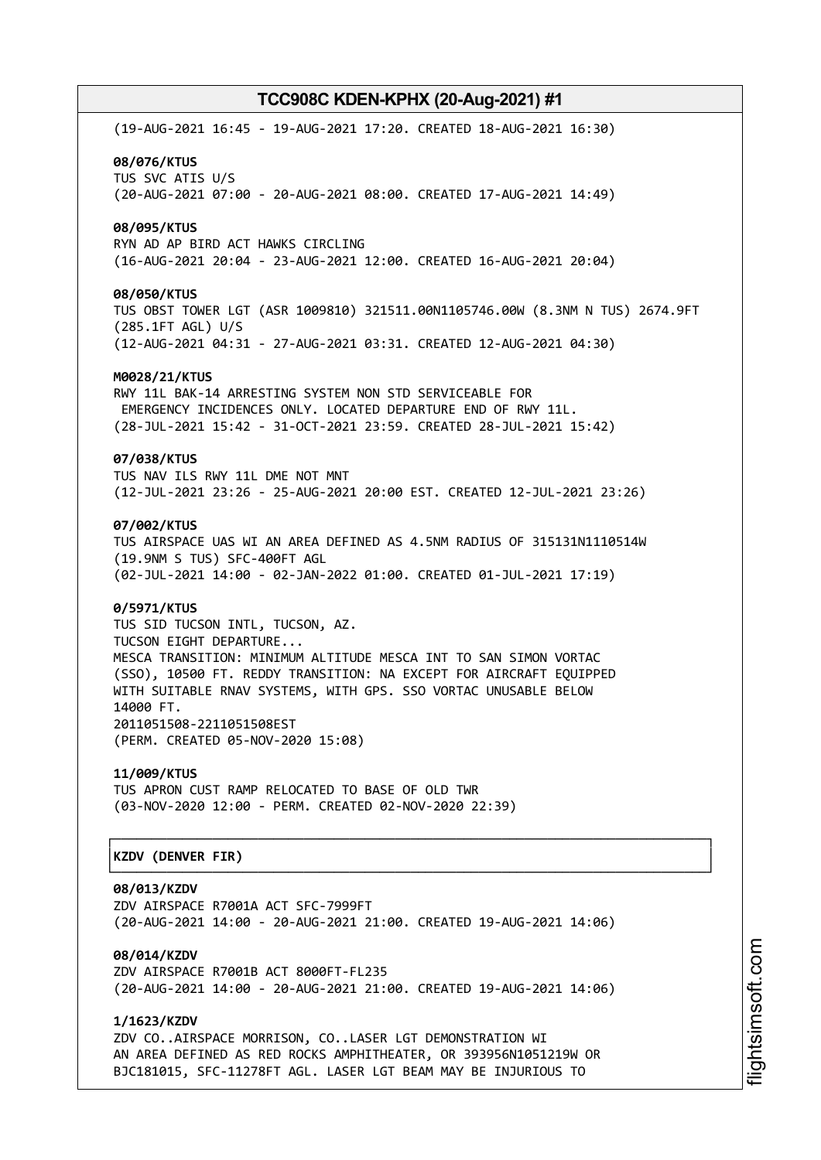(19-AUG-2021 16:45 - 19-AUG-2021 17:20. CREATED 18-AUG-2021 16:30) **08/076/KTUS** TUS SVC ATIS U/S (20-AUG-2021 07:00 - 20-AUG-2021 08:00. CREATED 17-AUG-2021 14:49) **08/095/KTUS** RYN AD AP BIRD ACT HAWKS CIRCLING (16-AUG-2021 20:04 - 23-AUG-2021 12:00. CREATED 16-AUG-2021 20:04) **08/050/KTUS** TUS OBST TOWER LGT (ASR 1009810) 321511.00N1105746.00W (8.3NM N TUS) 2674.9FT (285.1FT AGL) U/S (12-AUG-2021 04:31 - 27-AUG-2021 03:31. CREATED 12-AUG-2021 04:30) **M0028/21/KTUS** RWY 11L BAK-14 ARRESTING SYSTEM NON STD SERVICEABLE FOR EMERGENCY INCIDENCES ONLY. LOCATED DEPARTURE END OF RWY 11L. (28-JUL-2021 15:42 - 31-OCT-2021 23:59. CREATED 28-JUL-2021 15:42) **07/038/KTUS** TUS NAV ILS RWY 11L DME NOT MNT (12-JUL-2021 23:26 - 25-AUG-2021 20:00 EST. CREATED 12-JUL-2021 23:26) **07/002/KTUS** TUS AIRSPACE UAS WI AN AREA DEFINED AS 4.5NM RADIUS OF 315131N1110514W (19.9NM S TUS) SFC-400FT AGL (02-JUL-2021 14:00 - 02-JAN-2022 01:00. CREATED 01-JUL-2021 17:19) **0/5971/KTUS** TUS SID TUCSON INTL, TUCSON, AZ. TUCSON EIGHT DEPARTURE... MESCA TRANSITION: MINIMUM ALTITUDE MESCA INT TO SAN SIMON VORTAC (SSO), 10500 FT. REDDY TRANSITION: NA EXCEPT FOR AIRCRAFT EQUIPPED WITH SUITABLE RNAV SYSTEMS, WITH GPS. SSO VORTAC UNUSABLE BELOW 14000 FT. 2011051508-2211051508EST (PERM. CREATED 05-NOV-2020 15:08) **11/009/KTUS** TUS APRON CUST RAMP RELOCATED TO BASE OF OLD TWR (03-NOV-2020 12:00 - PERM. CREATED 02-NOV-2020 22:39) ┌──────────────────────────────────────────────────────────────────────────────┐ │**KZDV (DENVER FIR)** │ └──────────────────────────────────────────────────────────────────────────────┘ **08/013/KZDV** ZDV AIRSPACE R7001A ACT SFC-7999FT (20-AUG-2021 14:00 - 20-AUG-2021 21:00. CREATED 19-AUG-2021 14:06)

**08/014/KZDV** ZDV AIRSPACE R7001B ACT 8000FT-FL235 (20-AUG-2021 14:00 - 20-AUG-2021 21:00. CREATED 19-AUG-2021 14:06)

**1/1623/KZDV** ZDV CO..AIRSPACE MORRISON, CO..LASER LGT DEMONSTRATION WI AN AREA DEFINED AS RED ROCKS AMPHITHEATER, OR 393956N1051219W OR BJC181015, SFC-11278FT AGL. LASER LGT BEAM MAY BE INJURIOUS TO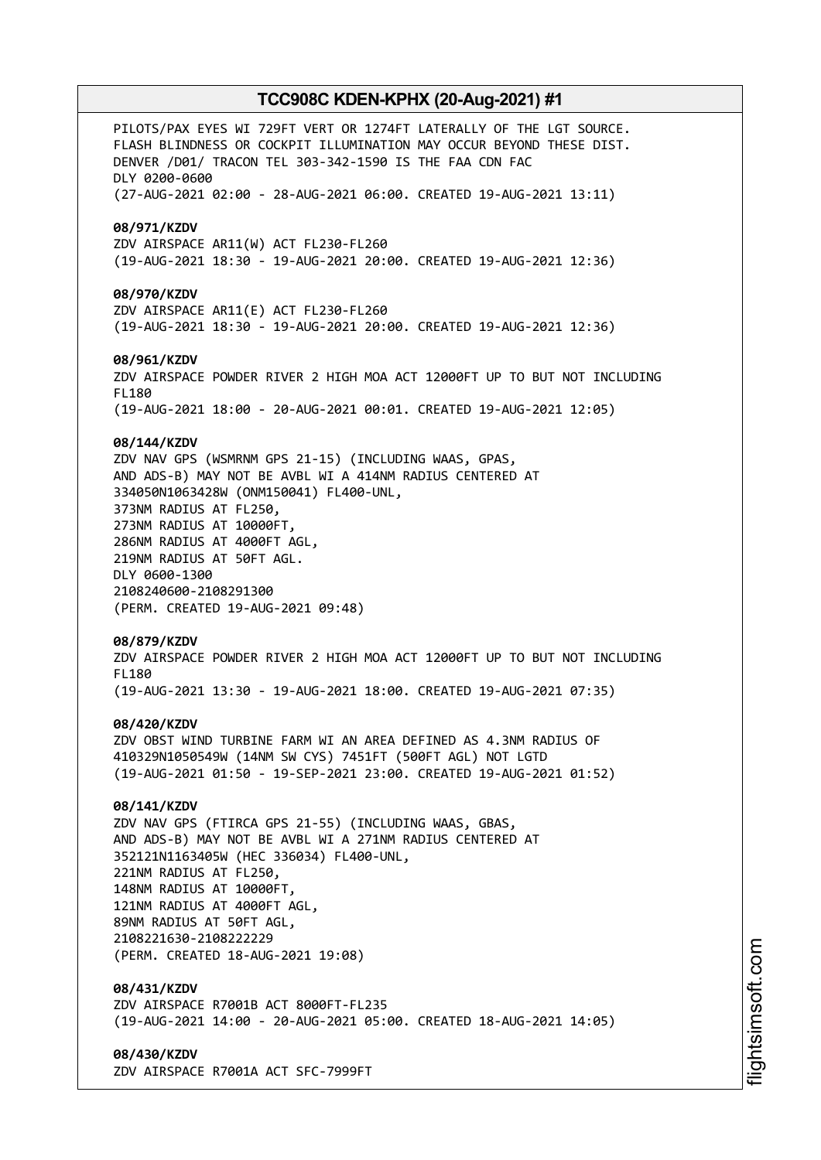PILOTS/PAX EYES WI 729FT VERT OR 1274FT LATERALLY OF THE LGT SOURCE. FLASH BLINDNESS OR COCKPIT ILLUMINATION MAY OCCUR BEYOND THESE DIST. DENVER /D01/ TRACON TEL 303-342-1590 IS THE FAA CDN FAC DLY 0200-0600 (27-AUG-2021 02:00 - 28-AUG-2021 06:00. CREATED 19-AUG-2021 13:11) **08/971/KZDV** ZDV AIRSPACE AR11(W) ACT FL230-FL260 (19-AUG-2021 18:30 - 19-AUG-2021 20:00. CREATED 19-AUG-2021 12:36) **08/970/KZDV** ZDV AIRSPACE AR11(E) ACT FL230-FL260 (19-AUG-2021 18:30 - 19-AUG-2021 20:00. CREATED 19-AUG-2021 12:36) **08/961/KZDV** ZDV AIRSPACE POWDER RIVER 2 HIGH MOA ACT 12000FT UP TO BUT NOT INCLUDING FL180 (19-AUG-2021 18:00 - 20-AUG-2021 00:01. CREATED 19-AUG-2021 12:05) **08/144/KZDV** ZDV NAV GPS (WSMRNM GPS 21-15) (INCLUDING WAAS, GPAS, AND ADS-B) MAY NOT BE AVBL WI A 414NM RADIUS CENTERED AT 334050N1063428W (ONM150041) FL400-UNL, 373NM RADIUS AT FL250, 273NM RADIUS AT 10000FT, 286NM RADIUS AT 4000FT AGL, 219NM RADIUS AT 50FT AGL. DLY 0600-1300 2108240600-2108291300 (PERM. CREATED 19-AUG-2021 09:48) **08/879/KZDV** ZDV AIRSPACE POWDER RIVER 2 HIGH MOA ACT 12000FT UP TO BUT NOT INCLUDING FL180 (19-AUG-2021 13:30 - 19-AUG-2021 18:00. CREATED 19-AUG-2021 07:35) **08/420/KZDV** ZDV OBST WIND TURBINE FARM WI AN AREA DEFINED AS 4.3NM RADIUS OF 410329N1050549W (14NM SW CYS) 7451FT (500FT AGL) NOT LGTD (19-AUG-2021 01:50 - 19-SEP-2021 23:00. CREATED 19-AUG-2021 01:52) **08/141/KZDV** ZDV NAV GPS (FTIRCA GPS 21-55) (INCLUDING WAAS, GBAS, AND ADS-B) MAY NOT BE AVBL WI A 271NM RADIUS CENTERED AT 352121N1163405W (HEC 336034) FL400-UNL, 221NM RADIUS AT FL250, 148NM RADIUS AT 10000FT, 121NM RADIUS AT 4000FT AGL, 89NM RADIUS AT 50FT AGL, 2108221630-2108222229 (PERM. CREATED 18-AUG-2021 19:08) **08/431/KZDV** ZDV AIRSPACE R7001B ACT 8000FT-FL235 (19-AUG-2021 14:00 - 20-AUG-2021 05:00. CREATED 18-AUG-2021 14:05) **08/430/KZDV**

ZDV AIRSPACE R7001A ACT SFC-7999FT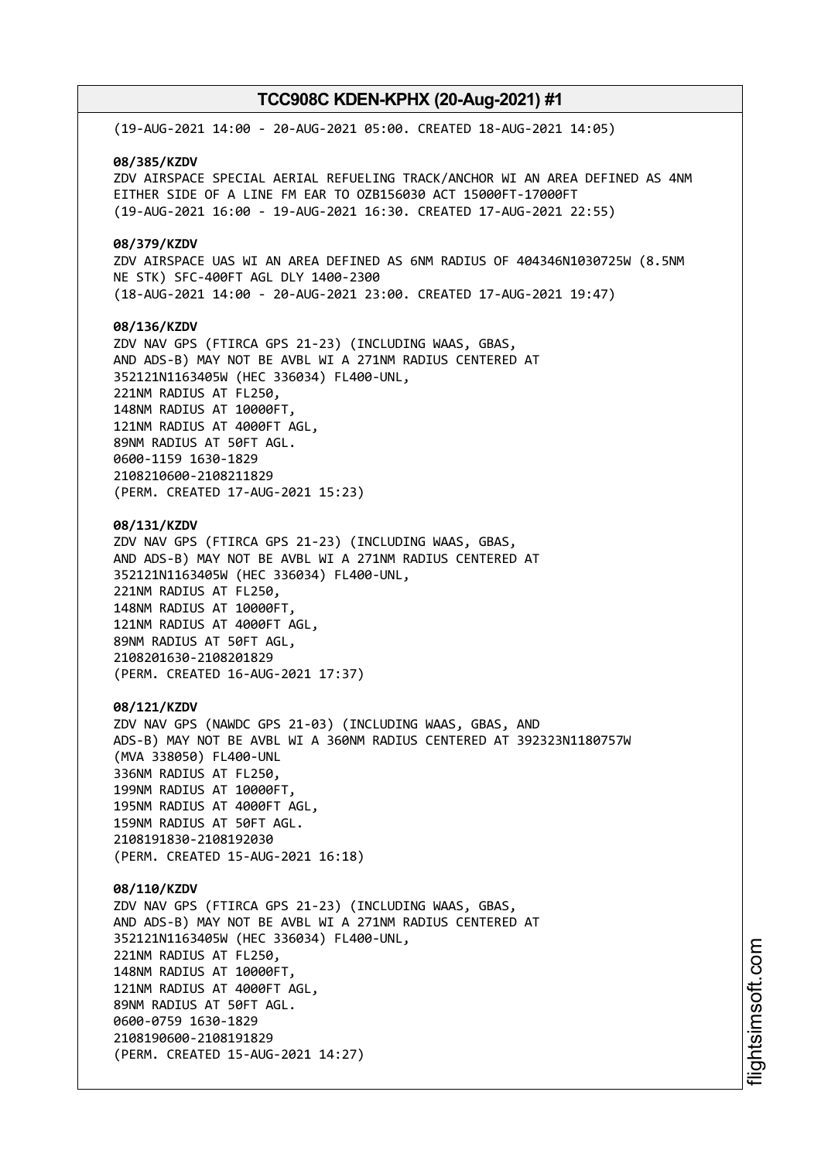(19-AUG-2021 14:00 - 20-AUG-2021 05:00. CREATED 18-AUG-2021 14:05) **08/385/KZDV** ZDV AIRSPACE SPECIAL AERIAL REFUELING TRACK/ANCHOR WI AN AREA DEFINED AS 4NM EITHER SIDE OF A LINE FM EAR TO OZB156030 ACT 15000FT-17000FT (19-AUG-2021 16:00 - 19-AUG-2021 16:30. CREATED 17-AUG-2021 22:55) **08/379/KZDV** ZDV AIRSPACE UAS WI AN AREA DEFINED AS 6NM RADIUS OF 404346N1030725W (8.5NM NE STK) SFC-400FT AGL DLY 1400-2300 (18-AUG-2021 14:00 - 20-AUG-2021 23:00. CREATED 17-AUG-2021 19:47) **08/136/KZDV** ZDV NAV GPS (FTIRCA GPS 21-23) (INCLUDING WAAS, GBAS, AND ADS-B) MAY NOT BE AVBL WI A 271NM RADIUS CENTERED AT 352121N1163405W (HEC 336034) FL400-UNL, 221NM RADIUS AT FL250, 148NM RADIUS AT 10000FT, 121NM RADIUS AT 4000FT AGL, 89NM RADIUS AT 50FT AGL. 0600-1159 1630-1829 2108210600-2108211829 (PERM. CREATED 17-AUG-2021 15:23) **08/131/KZDV** ZDV NAV GPS (FTIRCA GPS 21-23) (INCLUDING WAAS, GBAS, AND ADS-B) MAY NOT BE AVBL WI A 271NM RADIUS CENTERED AT 352121N1163405W (HEC 336034) FL400-UNL, 221NM RADIUS AT FL250, 148NM RADIUS AT 10000FT, 121NM RADIUS AT 4000FT AGL, 89NM RADIUS AT 50FT AGL, 2108201630-2108201829 (PERM. CREATED 16-AUG-2021 17:37) **08/121/KZDV** ZDV NAV GPS (NAWDC GPS 21-03) (INCLUDING WAAS, GBAS, AND ADS-B) MAY NOT BE AVBL WI A 360NM RADIUS CENTERED AT 392323N1180757W (MVA 338050) FL400-UNL 336NM RADIUS AT FL250, 199NM RADIUS AT 10000FT, 195NM RADIUS AT 4000FT AGL, 159NM RADIUS AT 50FT AGL. 2108191830-2108192030 (PERM. CREATED 15-AUG-2021 16:18) **08/110/KZDV** ZDV NAV GPS (FTIRCA GPS 21-23) (INCLUDING WAAS, GBAS, AND ADS-B) MAY NOT BE AVBL WI A 271NM RADIUS CENTERED AT 352121N1163405W (HEC 336034) FL400-UNL, 221NM RADIUS AT FL250, 148NM RADIUS AT 10000FT, 121NM RADIUS AT 4000FT AGL, 89NM RADIUS AT 50FT AGL. 0600-0759 1630-1829 2108190600-2108191829 (PERM. CREATED 15-AUG-2021 14:27)

i⊒<br>⊫ htsim soft.c o

m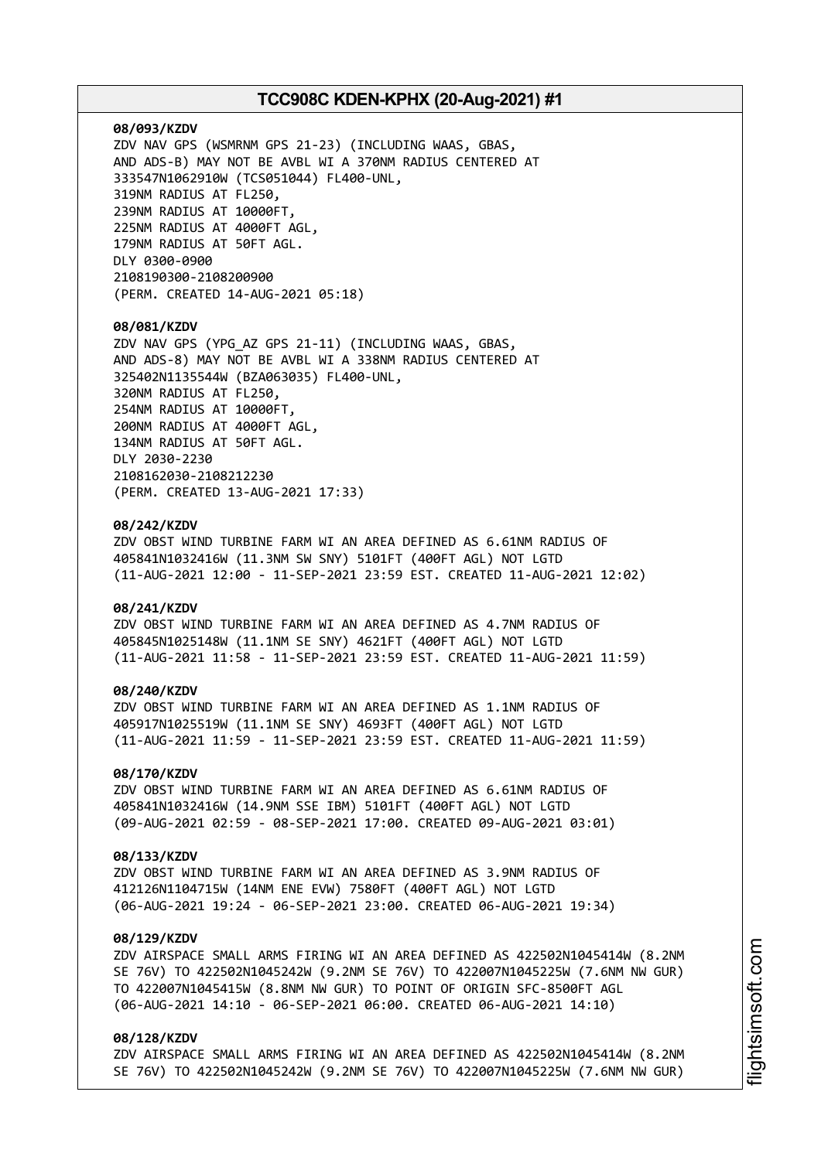#### **08/093/KZDV**

ZDV NAV GPS (WSMRNM GPS 21-23) (INCLUDING WAAS, GBAS, AND ADS-B) MAY NOT BE AVBL WI A 370NM RADIUS CENTERED AT 333547N1062910W (TCS051044) FL400-UNL, 319NM RADIUS AT FL250, 239NM RADIUS AT 10000FT, 225NM RADIUS AT 4000FT AGL, 179NM RADIUS AT 50FT AGL. DLY 0300-0900 2108190300-2108200900 (PERM. CREATED 14-AUG-2021 05:18)

#### **08/081/KZDV**

ZDV NAV GPS (YPG\_AZ GPS 21-11) (INCLUDING WAAS, GBAS, AND ADS-8) MAY NOT BE AVBL WI A 338NM RADIUS CENTERED AT 325402N1135544W (BZA063035) FL400-UNL, 320NM RADIUS AT FL250, 254NM RADIUS AT 10000FT, 200NM RADIUS AT 4000FT AGL, 134NM RADIUS AT 50FT AGL. DLY 2030-2230 2108162030-2108212230 (PERM. CREATED 13-AUG-2021 17:33)

## **08/242/KZDV**

ZDV OBST WIND TURBINE FARM WI AN AREA DEFINED AS 6.61NM RADIUS OF 405841N1032416W (11.3NM SW SNY) 5101FT (400FT AGL) NOT LGTD (11-AUG-2021 12:00 - 11-SEP-2021 23:59 EST. CREATED 11-AUG-2021 12:02)

#### **08/241/KZDV**

ZDV OBST WIND TURBINE FARM WI AN AREA DEFINED AS 4.7NM RADIUS OF 405845N1025148W (11.1NM SE SNY) 4621FT (400FT AGL) NOT LGTD (11-AUG-2021 11:58 - 11-SEP-2021 23:59 EST. CREATED 11-AUG-2021 11:59)

#### **08/240/KZDV**

ZDV OBST WIND TURBINE FARM WI AN AREA DEFINED AS 1.1NM RADIUS OF 405917N1025519W (11.1NM SE SNY) 4693FT (400FT AGL) NOT LGTD (11-AUG-2021 11:59 - 11-SEP-2021 23:59 EST. CREATED 11-AUG-2021 11:59)

#### **08/170/KZDV**

ZDV OBST WIND TURBINE FARM WI AN AREA DEFINED AS 6.61NM RADIUS OF 405841N1032416W (14.9NM SSE IBM) 5101FT (400FT AGL) NOT LGTD (09-AUG-2021 02:59 - 08-SEP-2021 17:00. CREATED 09-AUG-2021 03:01)

#### **08/133/KZDV**

ZDV OBST WIND TURBINE FARM WI AN AREA DEFINED AS 3.9NM RADIUS OF 412126N1104715W (14NM ENE EVW) 7580FT (400FT AGL) NOT LGTD (06-AUG-2021 19:24 - 06-SEP-2021 23:00. CREATED 06-AUG-2021 19:34)

## **08/129/KZDV**

ZDV AIRSPACE SMALL ARMS FIRING WI AN AREA DEFINED AS 422502N1045414W (8.2NM SE 76V) TO 422502N1045242W (9.2NM SE 76V) TO 422007N1045225W (7.6NM NW GUR) TO 422007N1045415W (8.8NM NW GUR) TO POINT OF ORIGIN SFC-8500FT AGL (06-AUG-2021 14:10 - 06-SEP-2021 06:00. CREATED 06-AUG-2021 14:10)

## **08/128/KZDV**

ZDV AIRSPACE SMALL ARMS FIRING WI AN AREA DEFINED AS 422502N1045414W (8.2NM SE 76V) TO 422502N1045242W (9.2NM SE 76V) TO 422007N1045225W (7.6NM NW GUR)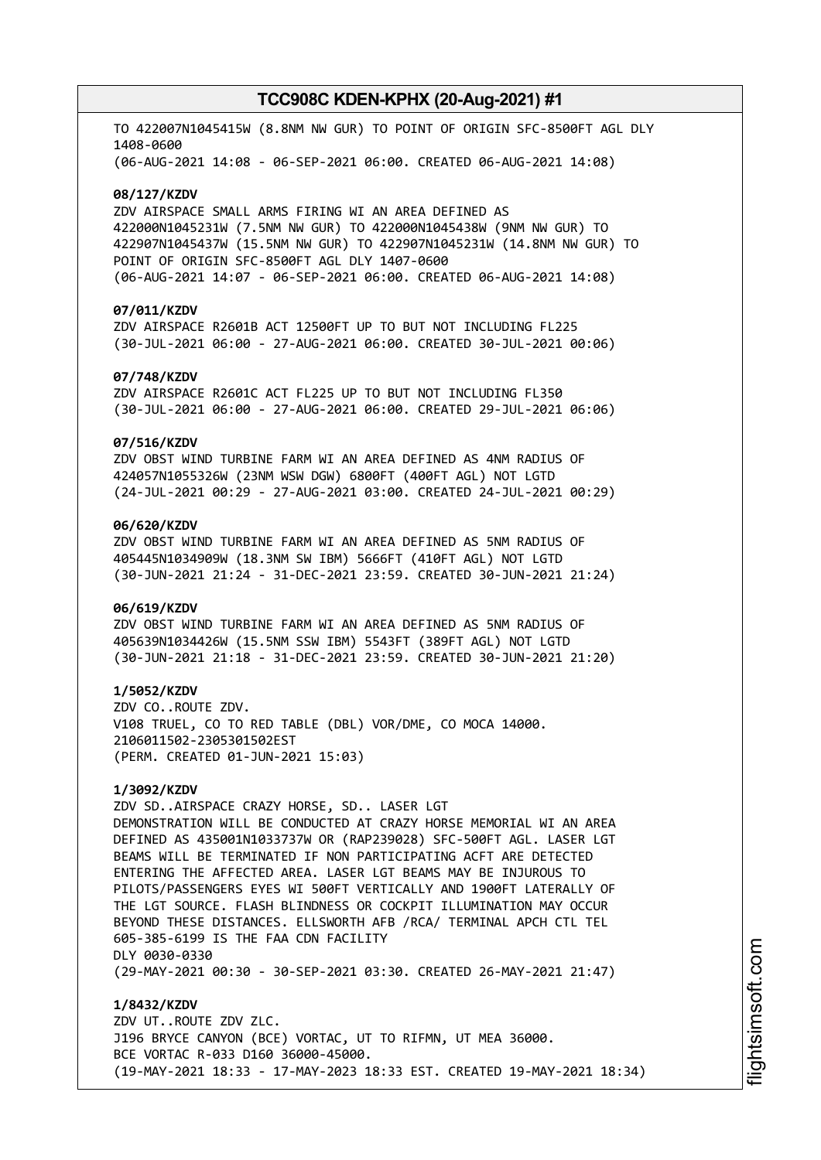TO 422007N1045415W (8.8NM NW GUR) TO POINT OF ORIGIN SFC-8500FT AGL DLY 1408-0600 (06-AUG-2021 14:08 - 06-SEP-2021 06:00. CREATED 06-AUG-2021 14:08)

#### **08/127/KZDV**

ZDV AIRSPACE SMALL ARMS FIRING WI AN AREA DEFINED AS 422000N1045231W (7.5NM NW GUR) TO 422000N1045438W (9NM NW GUR) TO 422907N1045437W (15.5NM NW GUR) TO 422907N1045231W (14.8NM NW GUR) TO POINT OF ORIGIN SFC-8500FT AGL DLY 1407-0600 (06-AUG-2021 14:07 - 06-SEP-2021 06:00. CREATED 06-AUG-2021 14:08)

#### **07/011/KZDV**

ZDV AIRSPACE R2601B ACT 12500FT UP TO BUT NOT INCLUDING FL225 (30-JUL-2021 06:00 - 27-AUG-2021 06:00. CREATED 30-JUL-2021 00:06)

#### **07/748/KZDV**

ZDV AIRSPACE R2601C ACT FL225 UP TO BUT NOT INCLUDING FL350 (30-JUL-2021 06:00 - 27-AUG-2021 06:00. CREATED 29-JUL-2021 06:06)

## **07/516/KZDV**

ZDV OBST WIND TURBINE FARM WI AN AREA DEFINED AS 4NM RADIUS OF 424057N1055326W (23NM WSW DGW) 6800FT (400FT AGL) NOT LGTD (24-JUL-2021 00:29 - 27-AUG-2021 03:00. CREATED 24-JUL-2021 00:29)

## **06/620/KZDV**

ZDV OBST WIND TURBINE FARM WI AN AREA DEFINED AS 5NM RADIUS OF 405445N1034909W (18.3NM SW IBM) 5666FT (410FT AGL) NOT LGTD (30-JUN-2021 21:24 - 31-DEC-2021 23:59. CREATED 30-JUN-2021 21:24)

## **06/619/KZDV**

ZDV OBST WIND TURBINE FARM WI AN AREA DEFINED AS 5NM RADIUS OF 405639N1034426W (15.5NM SSW IBM) 5543FT (389FT AGL) NOT LGTD (30-JUN-2021 21:18 - 31-DEC-2021 23:59. CREATED 30-JUN-2021 21:20)

#### **1/5052/KZDV**

ZDV CO..ROUTE ZDV. V108 TRUEL, CO TO RED TABLE (DBL) VOR/DME, CO MOCA 14000. 2106011502-2305301502EST (PERM. CREATED 01-JUN-2021 15:03)

# **1/3092/KZDV**

ZDV SD..AIRSPACE CRAZY HORSE, SD.. LASER LGT DEMONSTRATION WILL BE CONDUCTED AT CRAZY HORSE MEMORIAL WI AN AREA DEFINED AS 435001N1033737W OR (RAP239028) SFC-500FT AGL. LASER LGT BEAMS WILL BE TERMINATED IF NON PARTICIPATING ACFT ARE DETECTED ENTERING THE AFFECTED AREA. LASER LGT BEAMS MAY BE INJUROUS TO PILOTS/PASSENGERS EYES WI 500FT VERTICALLY AND 1900FT LATERALLY OF THE LGT SOURCE. FLASH BLINDNESS OR COCKPIT ILLUMINATION MAY OCCUR BEYOND THESE DISTANCES. ELLSWORTH AFB /RCA/ TERMINAL APCH CTL TEL 605-385-6199 IS THE FAA CDN FACILITY DLY 0030-0330 (29-MAY-2021 00:30 - 30-SEP-2021 03:30. CREATED 26-MAY-2021 21:47)

**1/8432/KZDV** ZDV UT..ROUTE ZDV ZLC. J196 BRYCE CANYON (BCE) VORTAC, UT TO RIFMN, UT MEA 36000. BCE VORTAC R-033 D160 36000-45000. (19-MAY-2021 18:33 - 17-MAY-2023 18:33 EST. CREATED 19-MAY-2021 18:34)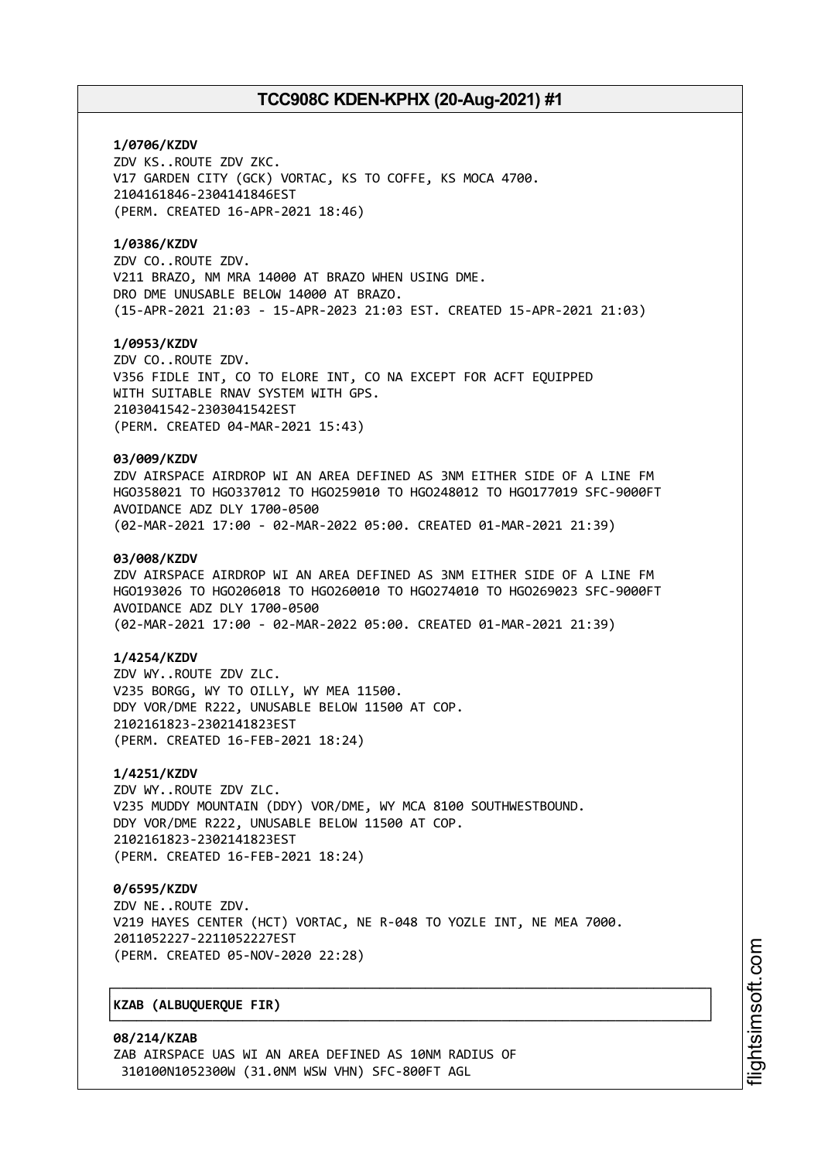## **1/0706/KZDV**

ZDV KS..ROUTE ZDV ZKC. V17 GARDEN CITY (GCK) VORTAC, KS TO COFFE, KS MOCA 4700. 2104161846-2304141846EST (PERM. CREATED 16-APR-2021 18:46)

## **1/0386/KZDV**

ZDV CO..ROUTE ZDV. V211 BRAZO, NM MRA 14000 AT BRAZO WHEN USING DME. DRO DME UNUSABLE BELOW 14000 AT BRAZO. (15-APR-2021 21:03 - 15-APR-2023 21:03 EST. CREATED 15-APR-2021 21:03)

#### **1/0953/KZDV**

ZDV CO..ROUTE ZDV. V356 FIDLE INT, CO TO ELORE INT, CO NA EXCEPT FOR ACFT EQUIPPED WITH SUITABLE RNAV SYSTEM WITH GPS. 2103041542-2303041542EST (PERM. CREATED 04-MAR-2021 15:43)

### **03/009/KZDV**

ZDV AIRSPACE AIRDROP WI AN AREA DEFINED AS 3NM EITHER SIDE OF A LINE FM HGO358021 TO HGO337012 TO HGO259010 TO HGO248012 TO HGO177019 SFC-9000FT AVOIDANCE ADZ DLY 1700-0500 (02-MAR-2021 17:00 - 02-MAR-2022 05:00. CREATED 01-MAR-2021 21:39)

#### **03/008/KZDV**

ZDV AIRSPACE AIRDROP WI AN AREA DEFINED AS 3NM EITHER SIDE OF A LINE FM HGO193026 TO HGO206018 TO HGO260010 TO HGO274010 TO HGO269023 SFC-9000FT AVOIDANCE ADZ DLY 1700-0500 (02-MAR-2021 17:00 - 02-MAR-2022 05:00. CREATED 01-MAR-2021 21:39)

## **1/4254/KZDV**

ZDV WY..ROUTE ZDV ZLC. V235 BORGG, WY TO OILLY, WY MEA 11500. DDY VOR/DME R222, UNUSABLE BELOW 11500 AT COP. 2102161823-2302141823EST (PERM. CREATED 16-FEB-2021 18:24)

## **1/4251/KZDV**

ZDV WY..ROUTE ZDV ZLC. V235 MUDDY MOUNTAIN (DDY) VOR/DME, WY MCA 8100 SOUTHWESTBOUND. DDY VOR/DME R222, UNUSABLE BELOW 11500 AT COP. 2102161823-2302141823EST (PERM. CREATED 16-FEB-2021 18:24)

# **0/6595/KZDV**

ZDV NE..ROUTE ZDV. V219 HAYES CENTER (HCT) VORTAC, NE R-048 TO YOZLE INT, NE MEA 7000. 2011052227-2211052227EST (PERM. CREATED 05-NOV-2020 22:28)

┌──────────────────────────────────────────────────────────────────────────────┐

└──────────────────────────────────────────────────────────────────────────────┘

## │**KZAB (ALBUQUERQUE FIR)** │

**08/214/KZAB** ZAB AIRSPACE UAS WI AN AREA DEFINED AS 10NM RADIUS OF 310100N1052300W (31.0NM WSW VHN) SFC-800FT AGL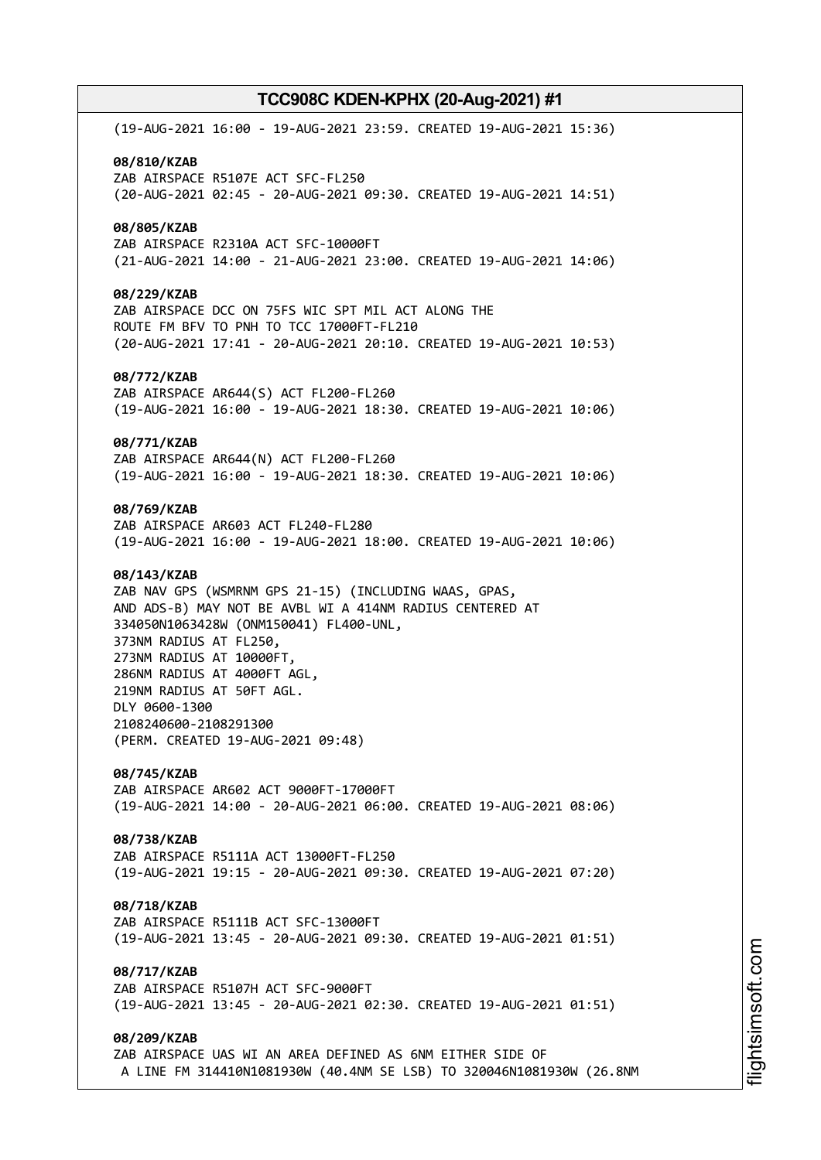(19-AUG-2021 16:00 - 19-AUG-2021 23:59. CREATED 19-AUG-2021 15:36) **08/810/KZAB** ZAB AIRSPACE R5107E ACT SFC-FL250 (20-AUG-2021 02:45 - 20-AUG-2021 09:30. CREATED 19-AUG-2021 14:51) **08/805/KZAB** ZAB AIRSPACE R2310A ACT SFC-10000FT (21-AUG-2021 14:00 - 21-AUG-2021 23:00. CREATED 19-AUG-2021 14:06) **08/229/KZAB** ZAB AIRSPACE DCC ON 75FS WIC SPT MIL ACT ALONG THE ROUTE FM BFV TO PNH TO TCC 17000FT-FL210 (20-AUG-2021 17:41 - 20-AUG-2021 20:10. CREATED 19-AUG-2021 10:53) **08/772/KZAB** ZAB AIRSPACE AR644(S) ACT FL200-FL260 (19-AUG-2021 16:00 - 19-AUG-2021 18:30. CREATED 19-AUG-2021 10:06) **08/771/KZAB** ZAB AIRSPACE AR644(N) ACT FL200-FL260 (19-AUG-2021 16:00 - 19-AUG-2021 18:30. CREATED 19-AUG-2021 10:06) **08/769/KZAB** ZAB AIRSPACE AR603 ACT FL240-FL280 (19-AUG-2021 16:00 - 19-AUG-2021 18:00. CREATED 19-AUG-2021 10:06) **08/143/KZAB** ZAB NAV GPS (WSMRNM GPS 21-15) (INCLUDING WAAS, GPAS, AND ADS-B) MAY NOT BE AVBL WI A 414NM RADIUS CENTERED AT 334050N1063428W (ONM150041) FL400-UNL, 373NM RADIUS AT FL250, 273NM RADIUS AT 10000FT, 286NM RADIUS AT 4000FT AGL, 219NM RADIUS AT 50FT AGL. DLY 0600-1300 2108240600-2108291300 (PERM. CREATED 19-AUG-2021 09:48) **08/745/KZAB** ZAB AIRSPACE AR602 ACT 9000FT-17000FT (19-AUG-2021 14:00 - 20-AUG-2021 06:00. CREATED 19-AUG-2021 08:06) **08/738/KZAB** ZAB AIRSPACE R5111A ACT 13000FT-FL250 (19-AUG-2021 19:15 - 20-AUG-2021 09:30. CREATED 19-AUG-2021 07:20) **08/718/KZAB** ZAB AIRSPACE R5111B ACT SFC-13000FT (19-AUG-2021 13:45 - 20-AUG-2021 09:30. CREATED 19-AUG-2021 01:51) **08/717/KZAB** ZAB AIRSPACE R5107H ACT SFC-9000FT (19-AUG-2021 13:45 - 20-AUG-2021 02:30. CREATED 19-AUG-2021 01:51) **08/209/KZAB** ZAB AIRSPACE UAS WI AN AREA DEFINED AS 6NM EITHER SIDE OF A LINE FM 314410N1081930W (40.4NM SE LSB) TO 320046N1081930W (26.8NM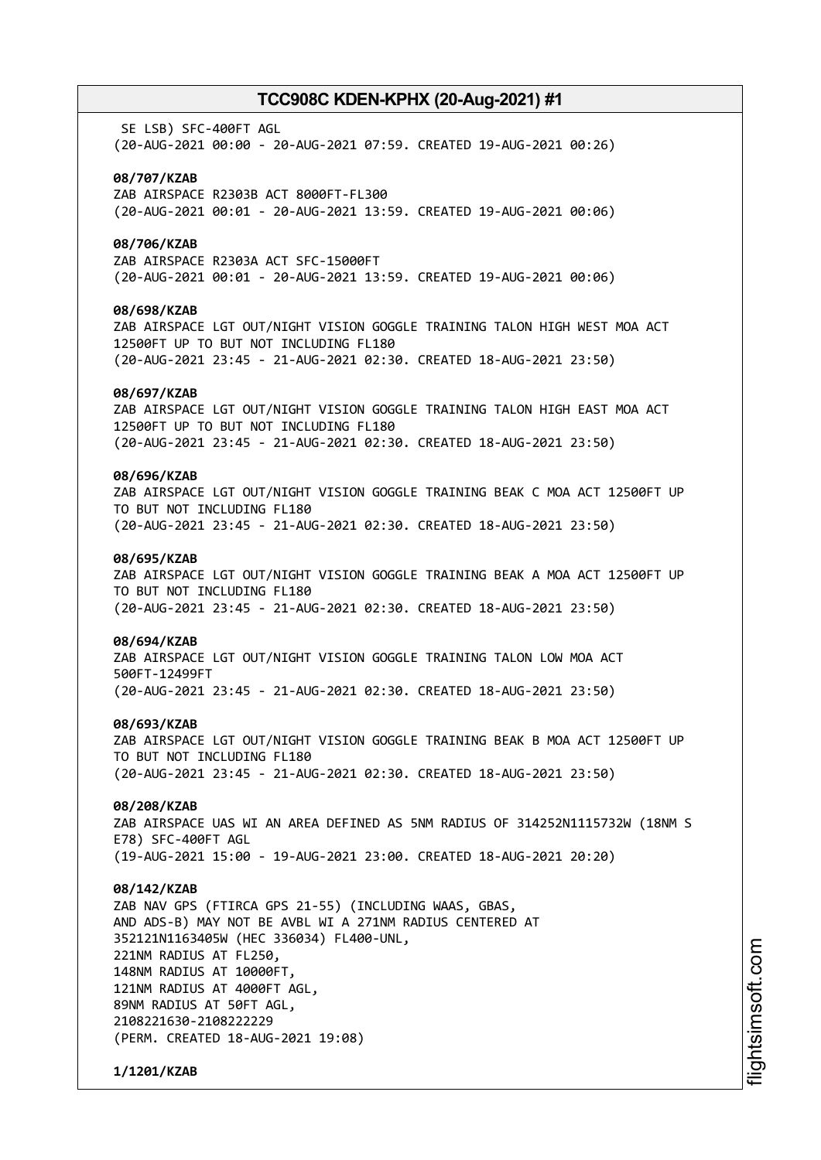SE LSB) SFC-400FT AGL (20-AUG-2021 00:00 - 20-AUG-2021 07:59. CREATED 19-AUG-2021 00:26)

#### **08/707/KZAB**

ZAB AIRSPACE R2303B ACT 8000FT-FL300 (20-AUG-2021 00:01 - 20-AUG-2021 13:59. CREATED 19-AUG-2021 00:06)

## **08/706/KZAB**

ZAB AIRSPACE R2303A ACT SFC-15000FT (20-AUG-2021 00:01 - 20-AUG-2021 13:59. CREATED 19-AUG-2021 00:06)

## **08/698/KZAB**

ZAB AIRSPACE LGT OUT/NIGHT VISION GOGGLE TRAINING TALON HIGH WEST MOA ACT 12500FT UP TO BUT NOT INCLUDING FL180 (20-AUG-2021 23:45 - 21-AUG-2021 02:30. CREATED 18-AUG-2021 23:50)

#### **08/697/KZAB**

ZAB AIRSPACE LGT OUT/NIGHT VISION GOGGLE TRAINING TALON HIGH EAST MOA ACT 12500FT UP TO BUT NOT INCLUDING FL180 (20-AUG-2021 23:45 - 21-AUG-2021 02:30. CREATED 18-AUG-2021 23:50)

## **08/696/KZAB**

ZAB AIRSPACE LGT OUT/NIGHT VISION GOGGLE TRAINING BEAK C MOA ACT 12500FT UP TO BUT NOT INCLUDING FL180 (20-AUG-2021 23:45 - 21-AUG-2021 02:30. CREATED 18-AUG-2021 23:50)

#### **08/695/KZAB**

ZAB AIRSPACE LGT OUT/NIGHT VISION GOGGLE TRAINING BEAK A MOA ACT 12500FT UP TO BUT NOT INCLUDING FL180 (20-AUG-2021 23:45 - 21-AUG-2021 02:30. CREATED 18-AUG-2021 23:50)

#### **08/694/KZAB**

ZAB AIRSPACE LGT OUT/NIGHT VISION GOGGLE TRAINING TALON LOW MOA ACT 500FT-12499FT (20-AUG-2021 23:45 - 21-AUG-2021 02:30. CREATED 18-AUG-2021 23:50)

#### **08/693/KZAB**

ZAB AIRSPACE LGT OUT/NIGHT VISION GOGGLE TRAINING BEAK B MOA ACT 12500FT UP TO BUT NOT INCLUDING FL180 (20-AUG-2021 23:45 - 21-AUG-2021 02:30. CREATED 18-AUG-2021 23:50)

## **08/208/KZAB**

ZAB AIRSPACE UAS WI AN AREA DEFINED AS 5NM RADIUS OF 314252N1115732W (18NM S E78) SFC-400FT AGL (19-AUG-2021 15:00 - 19-AUG-2021 23:00. CREATED 18-AUG-2021 20:20)

#### **08/142/KZAB**

ZAB NAV GPS (FTIRCA GPS 21-55) (INCLUDING WAAS, GBAS, AND ADS-B) MAY NOT BE AVBL WI A 271NM RADIUS CENTERED AT 352121N1163405W (HEC 336034) FL400-UNL, 221NM RADIUS AT FL250, 148NM RADIUS AT 10000FT, 121NM RADIUS AT 4000FT AGL, 89NM RADIUS AT 50FT AGL, 2108221630-2108222229 (PERM. CREATED 18-AUG-2021 19:08)

**1/1201/KZAB**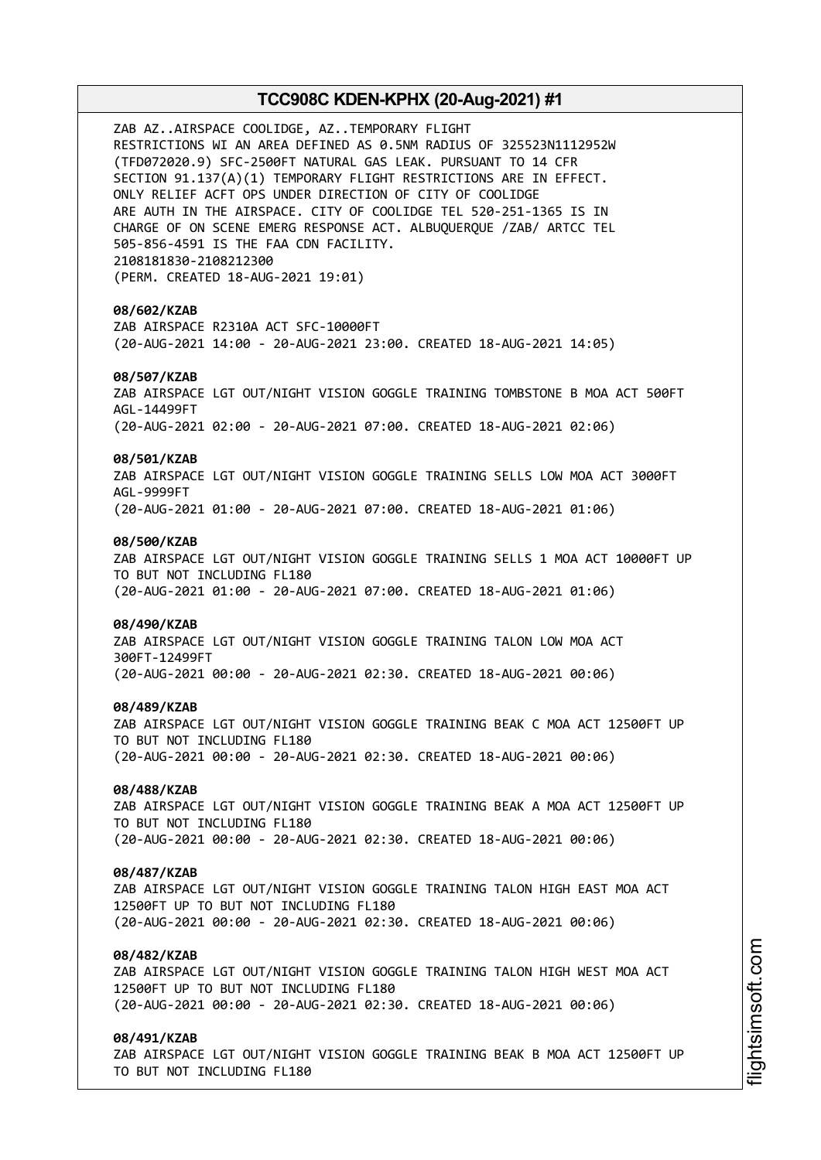ZAB AZ..AIRSPACE COOLIDGE, AZ..TEMPORARY FLIGHT RESTRICTIONS WI AN AREA DEFINED AS 0.5NM RADIUS OF 325523N1112952W (TFD072020.9) SFC-2500FT NATURAL GAS LEAK. PURSUANT TO 14 CFR SECTION 91.137(A)(1) TEMPORARY FLIGHT RESTRICTIONS ARE IN EFFECT. ONLY RELIEF ACFT OPS UNDER DIRECTION OF CITY OF COOLIDGE ARE AUTH IN THE AIRSPACE. CITY OF COOLIDGE TEL 520-251-1365 IS IN CHARGE OF ON SCENE EMERG RESPONSE ACT. ALBUQUERQUE /ZAB/ ARTCC TEL 505-856-4591 IS THE FAA CDN FACILITY. 2108181830-2108212300 (PERM. CREATED 18-AUG-2021 19:01) **08/602/KZAB** ZAB AIRSPACE R2310A ACT SFC-10000FT (20-AUG-2021 14:00 - 20-AUG-2021 23:00. CREATED 18-AUG-2021 14:05) **08/507/KZAB** ZAB AIRSPACE LGT OUT/NIGHT VISION GOGGLE TRAINING TOMBSTONE B MOA ACT 500FT AGL-14499FT (20-AUG-2021 02:00 - 20-AUG-2021 07:00. CREATED 18-AUG-2021 02:06) **08/501/KZAB** ZAB AIRSPACE LGT OUT/NIGHT VISION GOGGLE TRAINING SELLS LOW MOA ACT 3000FT AGL-9999FT (20-AUG-2021 01:00 - 20-AUG-2021 07:00. CREATED 18-AUG-2021 01:06) **08/500/KZAB** ZAB AIRSPACE LGT OUT/NIGHT VISION GOGGLE TRAINING SELLS 1 MOA ACT 10000FT UP TO BUT NOT INCLUDING FL180 (20-AUG-2021 01:00 - 20-AUG-2021 07:00. CREATED 18-AUG-2021 01:06) **08/490/KZAB** ZAB AIRSPACE LGT OUT/NIGHT VISION GOGGLE TRAINING TALON LOW MOA ACT 300FT-12499FT (20-AUG-2021 00:00 - 20-AUG-2021 02:30. CREATED 18-AUG-2021 00:06) **08/489/KZAB** ZAB AIRSPACE LGT OUT/NIGHT VISION GOGGLE TRAINING BEAK C MOA ACT 12500FT UP TO BUT NOT INCLUDING FL180 (20-AUG-2021 00:00 - 20-AUG-2021 02:30. CREATED 18-AUG-2021 00:06) **08/488/KZAB** ZAB AIRSPACE LGT OUT/NIGHT VISION GOGGLE TRAINING BEAK A MOA ACT 12500FT UP TO BUT NOT INCLUDING FL180 (20-AUG-2021 00:00 - 20-AUG-2021 02:30. CREATED 18-AUG-2021 00:06) **08/487/KZAB** ZAB AIRSPACE LGT OUT/NIGHT VISION GOGGLE TRAINING TALON HIGH EAST MOA ACT 12500FT UP TO BUT NOT INCLUDING FL180 (20-AUG-2021 00:00 - 20-AUG-2021 02:30. CREATED 18-AUG-2021 00:06) **08/482/KZAB** ZAB AIRSPACE LGT OUT/NIGHT VISION GOGGLE TRAINING TALON HIGH WEST MOA ACT 12500FT UP TO BUT NOT INCLUDING FL180 (20-AUG-2021 00:00 - 20-AUG-2021 02:30. CREATED 18-AUG-2021 00:06) **08/491/KZAB** ZAB AIRSPACE LGT OUT/NIGHT VISION GOGGLE TRAINING BEAK B MOA ACT 12500FT UP

TO BUT NOT INCLUDING FL180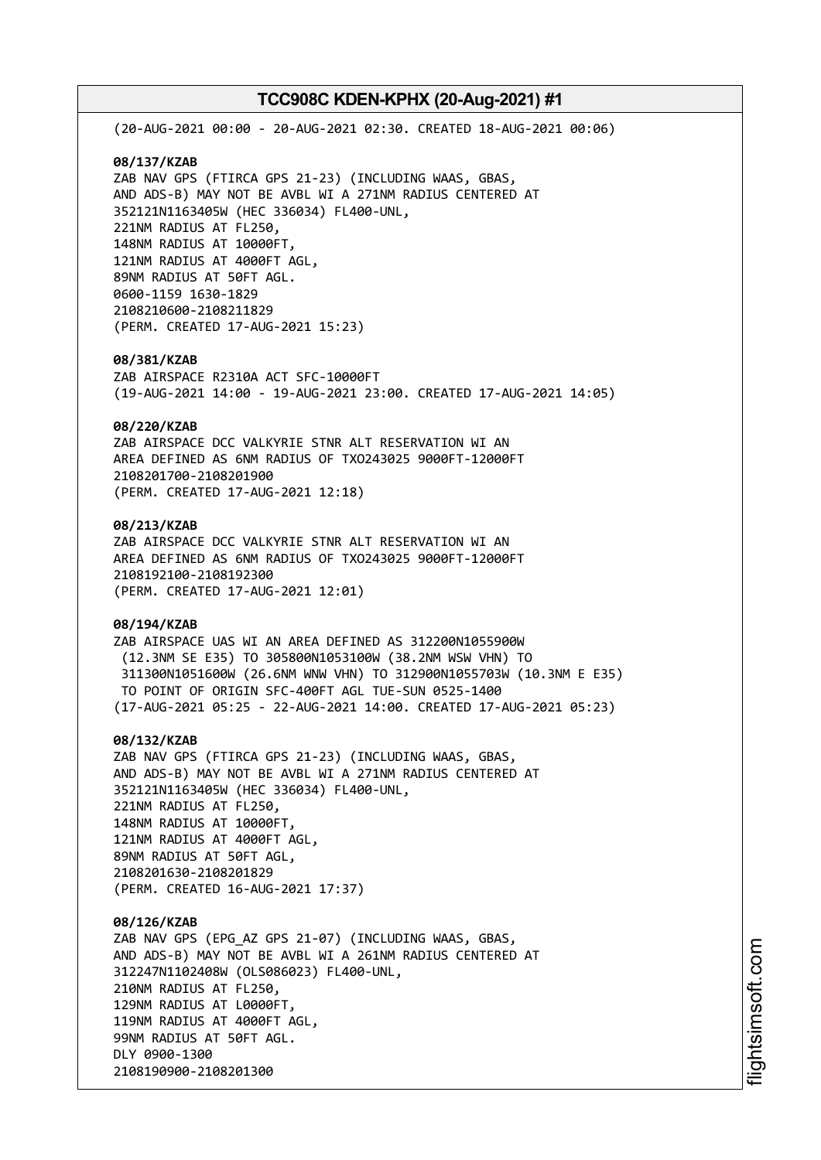(20-AUG-2021 00:00 - 20-AUG-2021 02:30. CREATED 18-AUG-2021 00:06) **08/137/KZAB** ZAB NAV GPS (FTIRCA GPS 21-23) (INCLUDING WAAS, GBAS, AND ADS-B) MAY NOT BE AVBL WI A 271NM RADIUS CENTERED AT 352121N1163405W (HEC 336034) FL400-UNL, 221NM RADIUS AT FL250, 148NM RADIUS AT 10000FT, 121NM RADIUS AT 4000FT AGL, 89NM RADIUS AT 50FT AGL. 0600-1159 1630-1829 2108210600-2108211829 (PERM. CREATED 17-AUG-2021 15:23) **08/381/KZAB** ZAB AIRSPACE R2310A ACT SFC-10000FT (19-AUG-2021 14:00 - 19-AUG-2021 23:00. CREATED 17-AUG-2021 14:05) **08/220/KZAB** ZAB AIRSPACE DCC VALKYRIE STNR ALT RESERVATION WI AN AREA DEFINED AS 6NM RADIUS OF TXO243025 9000FT-12000FT 2108201700-2108201900 (PERM. CREATED 17-AUG-2021 12:18) **08/213/KZAB** ZAB AIRSPACE DCC VALKYRIE STNR ALT RESERVATION WI AN AREA DEFINED AS 6NM RADIUS OF TXO243025 9000FT-12000FT 2108192100-2108192300 (PERM. CREATED 17-AUG-2021 12:01) **08/194/KZAB** ZAB AIRSPACE UAS WI AN AREA DEFINED AS 312200N1055900W (12.3NM SE E35) TO 305800N1053100W (38.2NM WSW VHN) TO 311300N1051600W (26.6NM WNW VHN) TO 312900N1055703W (10.3NM E E35) TO POINT OF ORIGIN SFC-400FT AGL TUE-SUN 0525-1400 (17-AUG-2021 05:25 - 22-AUG-2021 14:00. CREATED 17-AUG-2021 05:23) **08/132/KZAB** ZAB NAV GPS (FTIRCA GPS 21-23) (INCLUDING WAAS, GBAS, AND ADS-B) MAY NOT BE AVBL WI A 271NM RADIUS CENTERED AT 352121N1163405W (HEC 336034) FL400-UNL, 221NM RADIUS AT FL250, 148NM RADIUS AT 10000FT, 121NM RADIUS AT 4000FT AGL, 89NM RADIUS AT 50FT AGL, 2108201630-2108201829 (PERM. CREATED 16-AUG-2021 17:37) **08/126/KZAB** ZAB NAV GPS (EPG\_AZ GPS 21-07) (INCLUDING WAAS, GBAS, AND ADS-B) MAY NOT BE AVBL WI A 261NM RADIUS CENTERED AT 312247N1102408W (OLS086023) FL400-UNL, 210NM RADIUS AT FL250, 129NM RADIUS AT L0000FT, 119NM RADIUS AT 4000FT AGL,

99NM RADIUS AT 50FT AGL.

2108190900-2108201300

DLY 0900-1300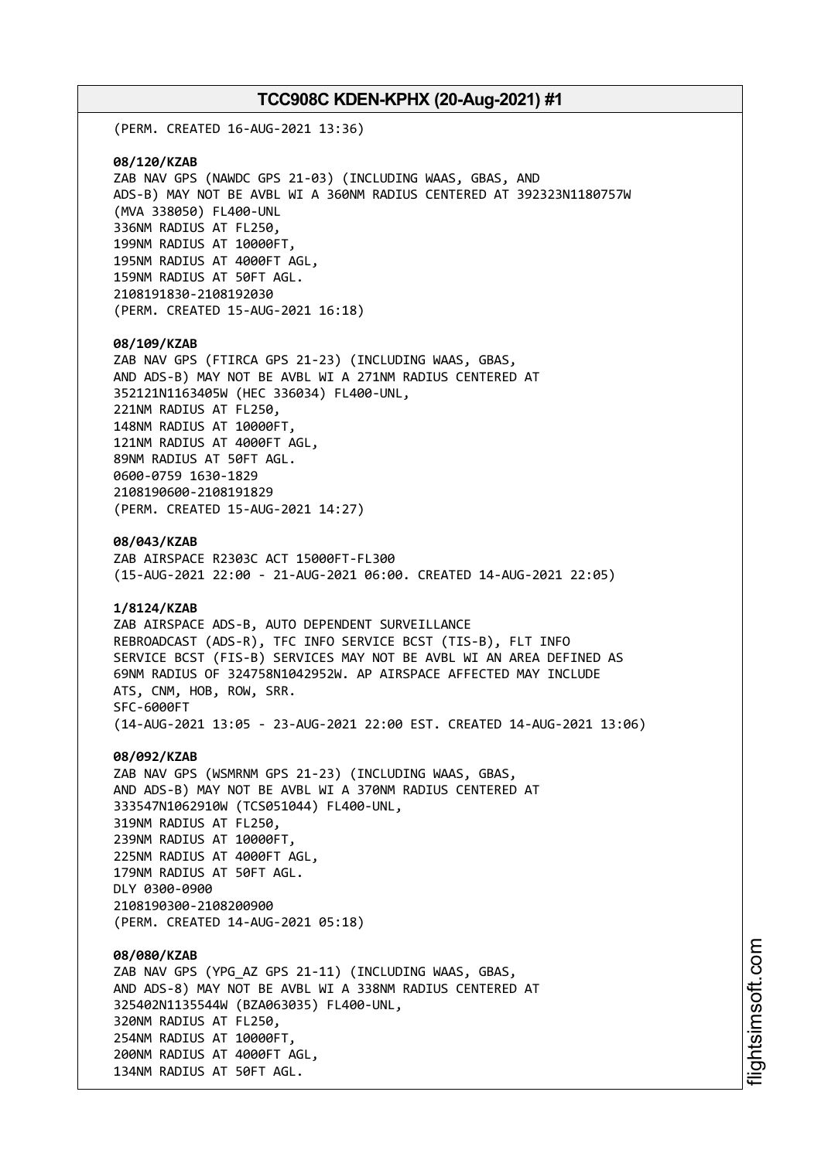(PERM. CREATED 16-AUG-2021 13:36)

**08/120/KZAB** ZAB NAV GPS (NAWDC GPS 21-03) (INCLUDING WAAS, GBAS, AND ADS-B) MAY NOT BE AVBL WI A 360NM RADIUS CENTERED AT 392323N1180757W (MVA 338050) FL400-UNL 336NM RADIUS AT FL250, 199NM RADIUS AT 10000FT, 195NM RADIUS AT 4000FT AGL, 159NM RADIUS AT 50FT AGL. 2108191830-2108192030 (PERM. CREATED 15-AUG-2021 16:18)

#### **08/109/KZAB**

ZAB NAV GPS (FTIRCA GPS 21-23) (INCLUDING WAAS, GBAS, AND ADS-B) MAY NOT BE AVBL WI A 271NM RADIUS CENTERED AT 352121N1163405W (HEC 336034) FL400-UNL, 221NM RADIUS AT FL250, 148NM RADIUS AT 10000FT, 121NM RADIUS AT 4000FT AGL, 89NM RADIUS AT 50FT AGL. 0600-0759 1630-1829 2108190600-2108191829 (PERM. CREATED 15-AUG-2021 14:27)

**08/043/KZAB**

ZAB AIRSPACE R2303C ACT 15000FT-FL300 (15-AUG-2021 22:00 - 21-AUG-2021 06:00. CREATED 14-AUG-2021 22:05)

## **1/8124/KZAB**

ZAB AIRSPACE ADS-B, AUTO DEPENDENT SURVEILLANCE REBROADCAST (ADS-R), TFC INFO SERVICE BCST (TIS-B), FLT INFO SERVICE BCST (FIS-B) SERVICES MAY NOT BE AVBL WI AN AREA DEFINED AS 69NM RADIUS OF 324758N1042952W. AP AIRSPACE AFFECTED MAY INCLUDE ATS, CNM, HOB, ROW, SRR. SFC-6000FT (14-AUG-2021 13:05 - 23-AUG-2021 22:00 EST. CREATED 14-AUG-2021 13:06)

#### **08/092/KZAB**

ZAB NAV GPS (WSMRNM GPS 21-23) (INCLUDING WAAS, GBAS, AND ADS-B) MAY NOT BE AVBL WI A 370NM RADIUS CENTERED AT 333547N1062910W (TCS051044) FL400-UNL, 319NM RADIUS AT FL250, 239NM RADIUS AT 10000FT, 225NM RADIUS AT 4000FT AGL, 179NM RADIUS AT 50FT AGL. DLY 0300-0900 2108190300-2108200900 (PERM. CREATED 14-AUG-2021 05:18)

## **08/080/KZAB**

ZAB NAV GPS (YPG\_AZ GPS 21-11) (INCLUDING WAAS, GBAS, AND ADS-8) MAY NOT BE AVBL WI A 338NM RADIUS CENTERED AT 325402N1135544W (BZA063035) FL400-UNL, 320NM RADIUS AT FL250, 254NM RADIUS AT 10000FT, 200NM RADIUS AT 4000FT AGL, 134NM RADIUS AT 50FT AGL.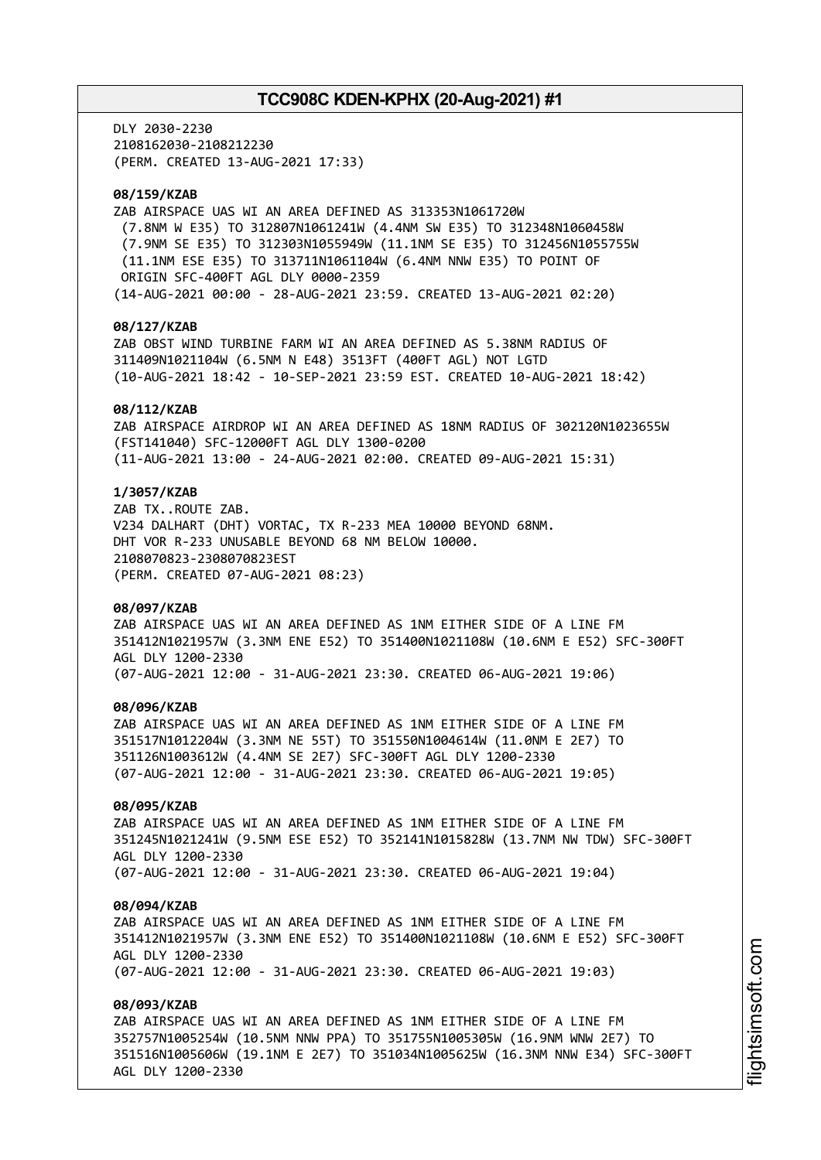DLY 2030-2230 2108162030-2108212230 (PERM. CREATED 13-AUG-2021 17:33)

## **08/159/KZAB**

ZAB AIRSPACE UAS WI AN AREA DEFINED AS 313353N1061720W (7.8NM W E35) TO 312807N1061241W (4.4NM SW E35) TO 312348N1060458W (7.9NM SE E35) TO 312303N1055949W (11.1NM SE E35) TO 312456N1055755W (11.1NM ESE E35) TO 313711N1061104W (6.4NM NNW E35) TO POINT OF ORIGIN SFC-400FT AGL DLY 0000-2359 (14-AUG-2021 00:00 - 28-AUG-2021 23:59. CREATED 13-AUG-2021 02:20)

## **08/127/KZAB**

ZAB OBST WIND TURBINE FARM WI AN AREA DEFINED AS 5.38NM RADIUS OF 311409N1021104W (6.5NM N E48) 3513FT (400FT AGL) NOT LGTD (10-AUG-2021 18:42 - 10-SEP-2021 23:59 EST. CREATED 10-AUG-2021 18:42)

## **08/112/KZAB**

ZAB AIRSPACE AIRDROP WI AN AREA DEFINED AS 18NM RADIUS OF 302120N1023655W (FST141040) SFC-12000FT AGL DLY 1300-0200 (11-AUG-2021 13:00 - 24-AUG-2021 02:00. CREATED 09-AUG-2021 15:31)

## **1/3057/KZAB**

ZAB TX..ROUTE ZAB. V234 DALHART (DHT) VORTAC, TX R-233 MEA 10000 BEYOND 68NM. DHT VOR R-233 UNUSABLE BEYOND 68 NM BELOW 10000. 2108070823-2308070823EST (PERM. CREATED 07-AUG-2021 08:23)

#### **08/097/KZAB**

ZAB AIRSPACE UAS WI AN AREA DEFINED AS 1NM EITHER SIDE OF A LINE FM 351412N1021957W (3.3NM ENE E52) TO 351400N1021108W (10.6NM E E52) SFC-300FT AGL DLY 1200-2330 (07-AUG-2021 12:00 - 31-AUG-2021 23:30. CREATED 06-AUG-2021 19:06)

#### **08/096/KZAB**

ZAB AIRSPACE UAS WI AN AREA DEFINED AS 1NM EITHER SIDE OF A LINE FM 351517N1012204W (3.3NM NE 55T) TO 351550N1004614W (11.0NM E 2E7) TO 351126N1003612W (4.4NM SE 2E7) SFC-300FT AGL DLY 1200-2330 (07-AUG-2021 12:00 - 31-AUG-2021 23:30. CREATED 06-AUG-2021 19:05)

## **08/095/KZAB**

ZAB AIRSPACE UAS WI AN AREA DEFINED AS 1NM EITHER SIDE OF A LINE FM 351245N1021241W (9.5NM ESE E52) TO 352141N1015828W (13.7NM NW TDW) SFC-300FT AGL DLY 1200-2330 (07-AUG-2021 12:00 - 31-AUG-2021 23:30. CREATED 06-AUG-2021 19:04)

#### **08/094/KZAB**

ZAB AIRSPACE UAS WI AN AREA DEFINED AS 1NM EITHER SIDE OF A LINE FM 351412N1021957W (3.3NM ENE E52) TO 351400N1021108W (10.6NM E E52) SFC-300FT AGL DLY 1200-2330 (07-AUG-2021 12:00 - 31-AUG-2021 23:30. CREATED 06-AUG-2021 19:03)

#### **08/093/KZAB**

ZAB AIRSPACE UAS WI AN AREA DEFINED AS 1NM EITHER SIDE OF A LINE FM 352757N1005254W (10.5NM NNW PPA) TO 351755N1005305W (16.9NM WNW 2E7) TO 351516N1005606W (19.1NM E 2E7) TO 351034N1005625W (16.3NM NNW E34) SFC-300FT AGL DLY 1200-2330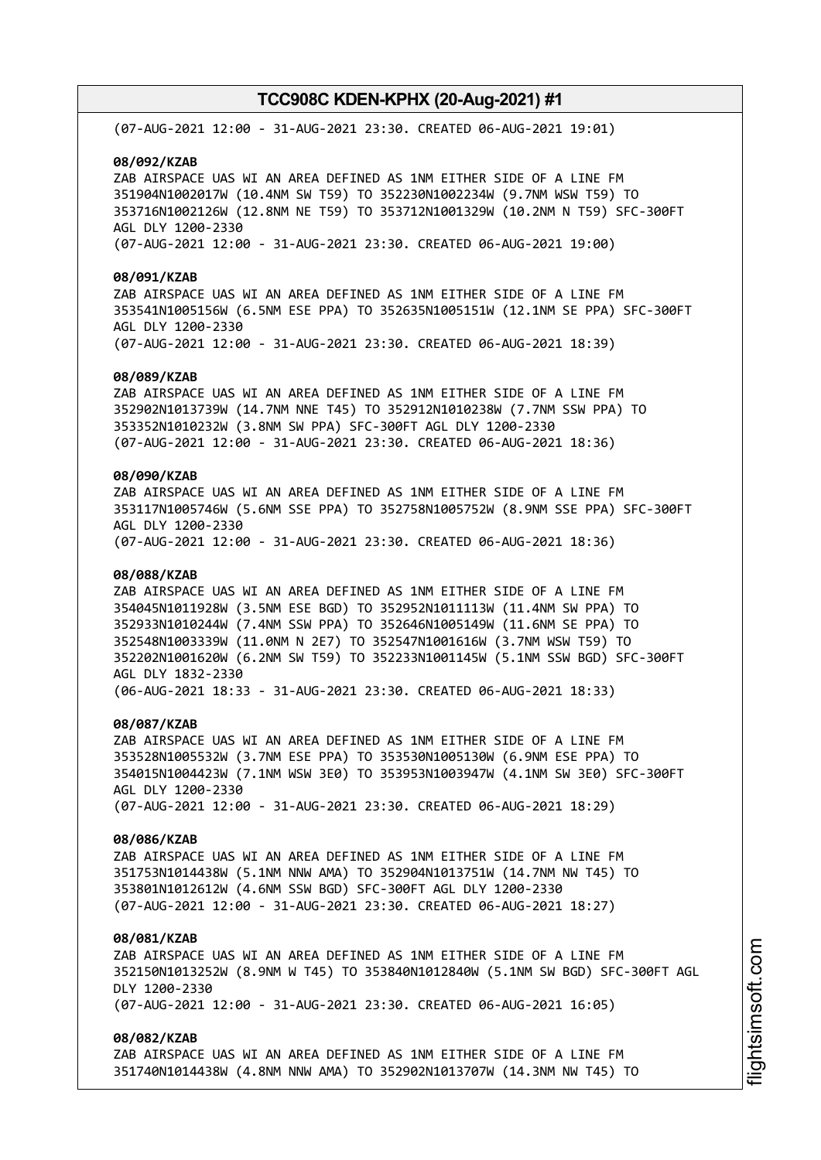(07-AUG-2021 12:00 - 31-AUG-2021 23:30. CREATED 06-AUG-2021 19:01)

#### **08/092/KZAB**

ZAB AIRSPACE UAS WI AN AREA DEFINED AS 1NM EITHER SIDE OF A LINE FM 351904N1002017W (10.4NM SW T59) TO 352230N1002234W (9.7NM WSW T59) TO 353716N1002126W (12.8NM NE T59) TO 353712N1001329W (10.2NM N T59) SFC-300FT AGL DLY 1200-2330 (07-AUG-2021 12:00 - 31-AUG-2021 23:30. CREATED 06-AUG-2021 19:00)

#### **08/091/KZAB**

ZAB AIRSPACE UAS WI AN AREA DEFINED AS 1NM EITHER SIDE OF A LINE FM 353541N1005156W (6.5NM ESE PPA) TO 352635N1005151W (12.1NM SE PPA) SFC-300FT AGL DLY 1200-2330 (07-AUG-2021 12:00 - 31-AUG-2021 23:30. CREATED 06-AUG-2021 18:39)

#### **08/089/KZAB**

ZAB AIRSPACE UAS WI AN AREA DEFINED AS 1NM EITHER SIDE OF A LINE FM 352902N1013739W (14.7NM NNE T45) TO 352912N1010238W (7.7NM SSW PPA) TO 353352N1010232W (3.8NM SW PPA) SFC-300FT AGL DLY 1200-2330 (07-AUG-2021 12:00 - 31-AUG-2021 23:30. CREATED 06-AUG-2021 18:36)

# **08/090/KZAB**

ZAB AIRSPACE UAS WI AN AREA DEFINED AS 1NM EITHER SIDE OF A LINE FM 353117N1005746W (5.6NM SSE PPA) TO 352758N1005752W (8.9NM SSE PPA) SFC-300FT AGL DLY 1200-2330 (07-AUG-2021 12:00 - 31-AUG-2021 23:30. CREATED 06-AUG-2021 18:36)

## **08/088/KZAB**

ZAB AIRSPACE UAS WI AN AREA DEFINED AS 1NM EITHER SIDE OF A LINE FM 354045N1011928W (3.5NM ESE BGD) TO 352952N1011113W (11.4NM SW PPA) TO 352933N1010244W (7.4NM SSW PPA) TO 352646N1005149W (11.6NM SE PPA) TO 352548N1003339W (11.0NM N 2E7) TO 352547N1001616W (3.7NM WSW T59) TO 352202N1001620W (6.2NM SW T59) TO 352233N1001145W (5.1NM SSW BGD) SFC-300FT AGL DLY 1832-2330 (06-AUG-2021 18:33 - 31-AUG-2021 23:30. CREATED 06-AUG-2021 18:33)

#### **08/087/KZAB**

ZAB AIRSPACE UAS WI AN AREA DEFINED AS 1NM EITHER SIDE OF A LINE FM 353528N1005532W (3.7NM ESE PPA) TO 353530N1005130W (6.9NM ESE PPA) TO 354015N1004423W (7.1NM WSW 3E0) TO 353953N1003947W (4.1NM SW 3E0) SFC-300FT AGL DLY 1200-2330 (07-AUG-2021 12:00 - 31-AUG-2021 23:30. CREATED 06-AUG-2021 18:29)

## **08/086/KZAB**

ZAB AIRSPACE UAS WI AN AREA DEFINED AS 1NM EITHER SIDE OF A LINE FM 351753N1014438W (5.1NM NNW AMA) TO 352904N1013751W (14.7NM NW T45) TO 353801N1012612W (4.6NM SSW BGD) SFC-300FT AGL DLY 1200-2330 (07-AUG-2021 12:00 - 31-AUG-2021 23:30. CREATED 06-AUG-2021 18:27)

## **08/081/KZAB**

ZAB AIRSPACE UAS WI AN AREA DEFINED AS 1NM EITHER SIDE OF A LINE FM 352150N1013252W (8.9NM W T45) TO 353840N1012840W (5.1NM SW BGD) SFC-300FT AGL DLY 1200-2330 (07-AUG-2021 12:00 - 31-AUG-2021 23:30. CREATED 06-AUG-2021 16:05)

## **08/082/KZAB**

ZAB AIRSPACE UAS WI AN AREA DEFINED AS 1NM EITHER SIDE OF A LINE FM 351740N1014438W (4.8NM NNW AMA) TO 352902N1013707W (14.3NM NW T45) TO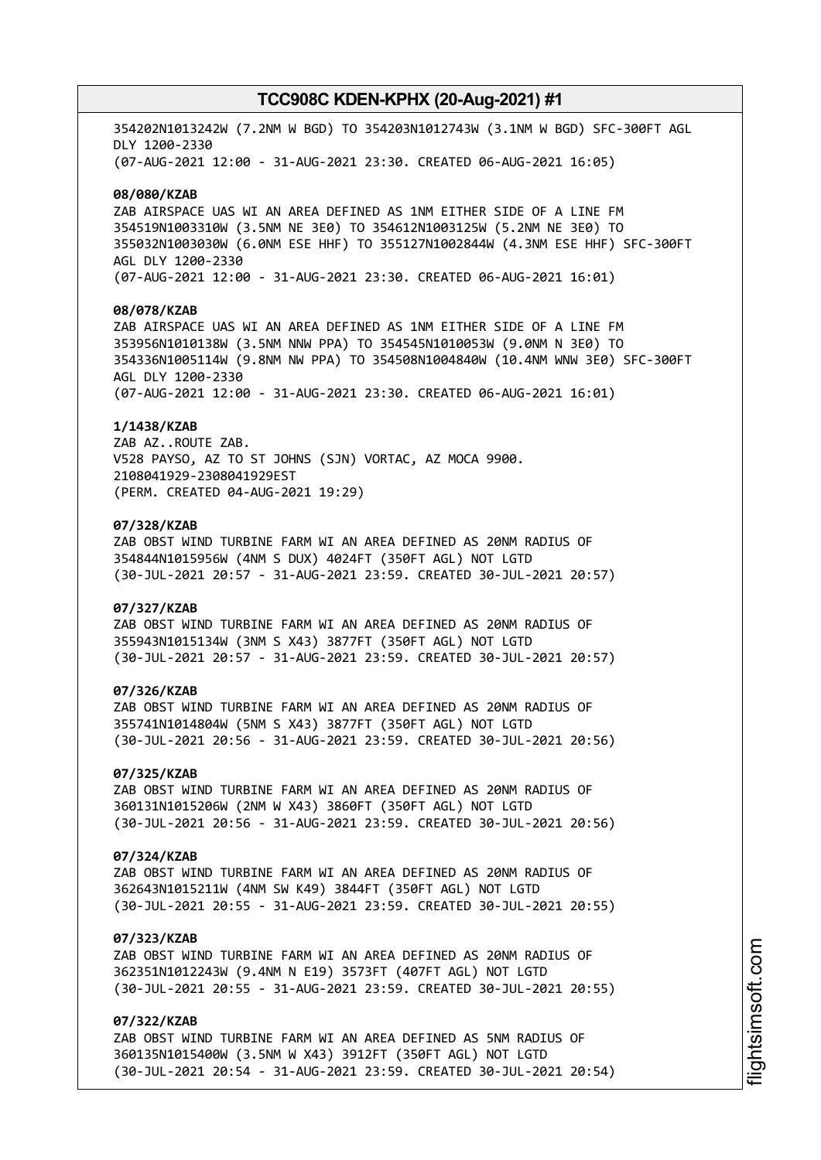354202N1013242W (7.2NM W BGD) TO 354203N1012743W (3.1NM W BGD) SFC-300FT AGL DLY 1200-2330 (07-AUG-2021 12:00 - 31-AUG-2021 23:30. CREATED 06-AUG-2021 16:05)

#### **08/080/KZAB**

ZAB AIRSPACE UAS WI AN AREA DEFINED AS 1NM EITHER SIDE OF A LINE FM 354519N1003310W (3.5NM NE 3E0) TO 354612N1003125W (5.2NM NE 3E0) TO 355032N1003030W (6.0NM ESE HHF) TO 355127N1002844W (4.3NM ESE HHF) SFC-300FT AGL DLY 1200-2330 (07-AUG-2021 12:00 - 31-AUG-2021 23:30. CREATED 06-AUG-2021 16:01)

# **08/078/KZAB**

ZAB AIRSPACE UAS WI AN AREA DEFINED AS 1NM EITHER SIDE OF A LINE FM 353956N1010138W (3.5NM NNW PPA) TO 354545N1010053W (9.0NM N 3E0) TO 354336N1005114W (9.8NM NW PPA) TO 354508N1004840W (10.4NM WNW 3E0) SFC-300FT AGL DLY 1200-2330 (07-AUG-2021 12:00 - 31-AUG-2021 23:30. CREATED 06-AUG-2021 16:01)

#### **1/1438/KZAB**

ZAB AZ..ROUTE ZAB. V528 PAYSO, AZ TO ST JOHNS (SJN) VORTAC, AZ MOCA 9900. 2108041929-2308041929EST (PERM. CREATED 04-AUG-2021 19:29)

## **07/328/KZAB**

ZAB OBST WIND TURBINE FARM WI AN AREA DEFINED AS 20NM RADIUS OF 354844N1015956W (4NM S DUX) 4024FT (350FT AGL) NOT LGTD (30-JUL-2021 20:57 - 31-AUG-2021 23:59. CREATED 30-JUL-2021 20:57)

#### **07/327/KZAB**

ZAB OBST WIND TURBINE FARM WI AN AREA DEFINED AS 20NM RADIUS OF 355943N1015134W (3NM S X43) 3877FT (350FT AGL) NOT LGTD (30-JUL-2021 20:57 - 31-AUG-2021 23:59. CREATED 30-JUL-2021 20:57)

## **07/326/KZAB**

ZAB OBST WIND TURBINE FARM WI AN AREA DEFINED AS 20NM RADIUS OF 355741N1014804W (5NM S X43) 3877FT (350FT AGL) NOT LGTD (30-JUL-2021 20:56 - 31-AUG-2021 23:59. CREATED 30-JUL-2021 20:56)

## **07/325/KZAB**

ZAB OBST WIND TURBINE FARM WI AN AREA DEFINED AS 20NM RADIUS OF 360131N1015206W (2NM W X43) 3860FT (350FT AGL) NOT LGTD (30-JUL-2021 20:56 - 31-AUG-2021 23:59. CREATED 30-JUL-2021 20:56)

## **07/324/KZAB**

ZAB OBST WIND TURBINE FARM WI AN AREA DEFINED AS 20NM RADIUS OF 362643N1015211W (4NM SW K49) 3844FT (350FT AGL) NOT LGTD (30-JUL-2021 20:55 - 31-AUG-2021 23:59. CREATED 30-JUL-2021 20:55)

## **07/323/KZAB**

ZAB OBST WIND TURBINE FARM WI AN AREA DEFINED AS 20NM RADIUS OF 362351N1012243W (9.4NM N E19) 3573FT (407FT AGL) NOT LGTD (30-JUL-2021 20:55 - 31-AUG-2021 23:59. CREATED 30-JUL-2021 20:55)

# **07/322/KZAB**

ZAB OBST WIND TURBINE FARM WI AN AREA DEFINED AS 5NM RADIUS OF 360135N1015400W (3.5NM W X43) 3912FT (350FT AGL) NOT LGTD (30-JUL-2021 20:54 - 31-AUG-2021 23:59. CREATED 30-JUL-2021 20:54)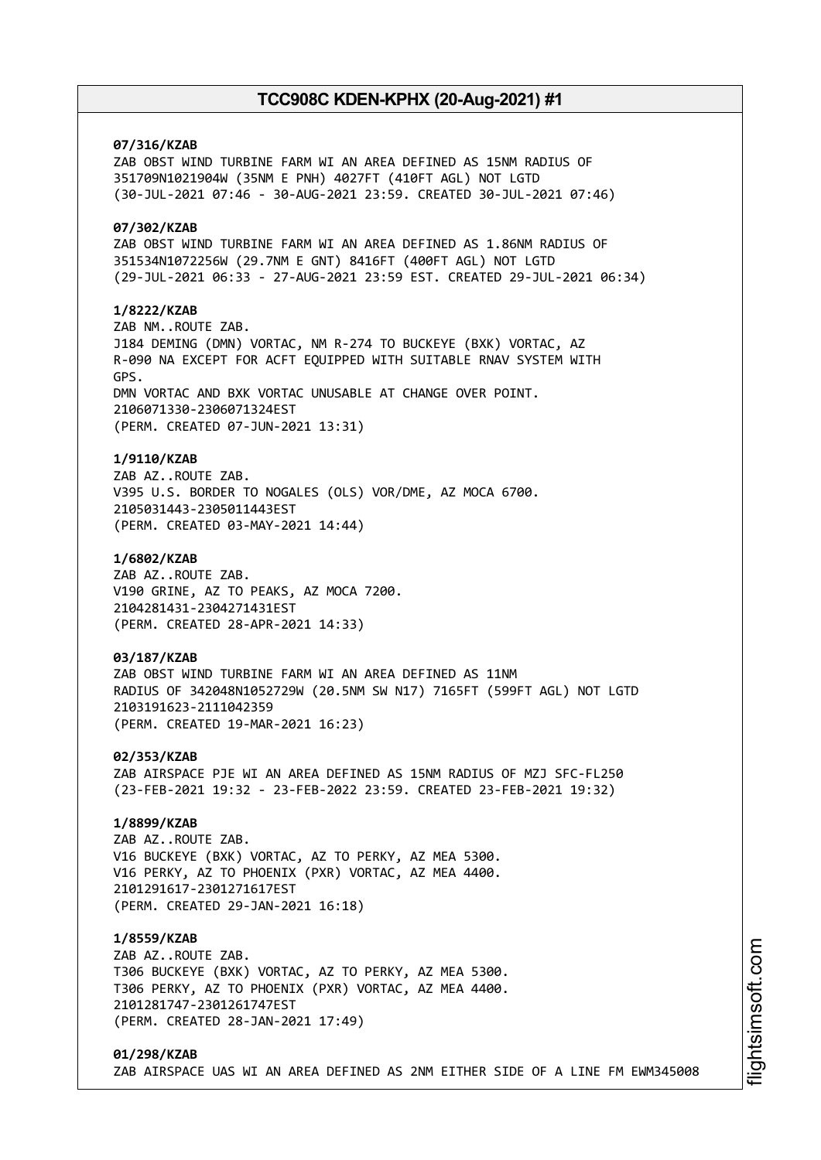# **07/316/KZAB**

ZAB OBST WIND TURBINE FARM WI AN AREA DEFINED AS 15NM RADIUS OF 351709N1021904W (35NM E PNH) 4027FT (410FT AGL) NOT LGTD (30-JUL-2021 07:46 - 30-AUG-2021 23:59. CREATED 30-JUL-2021 07:46)

# **07/302/KZAB**

ZAB OBST WIND TURBINE FARM WI AN AREA DEFINED AS 1.86NM RADIUS OF 351534N1072256W (29.7NM E GNT) 8416FT (400FT AGL) NOT LGTD (29-JUL-2021 06:33 - 27-AUG-2021 23:59 EST. CREATED 29-JUL-2021 06:34)

## **1/8222/KZAB**

ZAB NM..ROUTE ZAB. J184 DEMING (DMN) VORTAC, NM R-274 TO BUCKEYE (BXK) VORTAC, AZ R-090 NA EXCEPT FOR ACFT EQUIPPED WITH SUITABLE RNAV SYSTEM WITH GPS. DMN VORTAC AND BXK VORTAC UNUSABLE AT CHANGE OVER POINT. 2106071330-2306071324EST (PERM. CREATED 07-JUN-2021 13:31)

## **1/9110/KZAB**

ZAB AZ..ROUTE ZAB. V395 U.S. BORDER TO NOGALES (OLS) VOR/DME, AZ MOCA 6700. 2105031443-2305011443EST (PERM. CREATED 03-MAY-2021 14:44)

#### **1/6802/KZAB**

ZAB AZ..ROUTE ZAB. V190 GRINE, AZ TO PEAKS, AZ MOCA 7200. 2104281431-2304271431EST (PERM. CREATED 28-APR-2021 14:33)

## **03/187/KZAB**

ZAB OBST WIND TURBINE FARM WI AN AREA DEFINED AS 11NM RADIUS OF 342048N1052729W (20.5NM SW N17) 7165FT (599FT AGL) NOT LGTD 2103191623-2111042359 (PERM. CREATED 19-MAR-2021 16:23)

**02/353/KZAB** ZAB AIRSPACE PJE WI AN AREA DEFINED AS 15NM RADIUS OF MZJ SFC-FL250 (23-FEB-2021 19:32 - 23-FEB-2022 23:59. CREATED 23-FEB-2021 19:32)

## **1/8899/KZAB**

ZAB AZ..ROUTE ZAB. V16 BUCKEYE (BXK) VORTAC, AZ TO PERKY, AZ MEA 5300. V16 PERKY, AZ TO PHOENIX (PXR) VORTAC, AZ MEA 4400. 2101291617-2301271617EST (PERM. CREATED 29-JAN-2021 16:18)

## **1/8559/KZAB**

ZAB AZ..ROUTE ZAB. T306 BUCKEYE (BXK) VORTAC, AZ TO PERKY, AZ MEA 5300. T306 PERKY, AZ TO PHOENIX (PXR) VORTAC, AZ MEA 4400. 2101281747-2301261747EST (PERM. CREATED 28-JAN-2021 17:49)

## **01/298/KZAB** ZAB AIRSPACE UAS WI AN AREA DEFINED AS 2NM EITHER SIDE OF A LINE FM EWM345008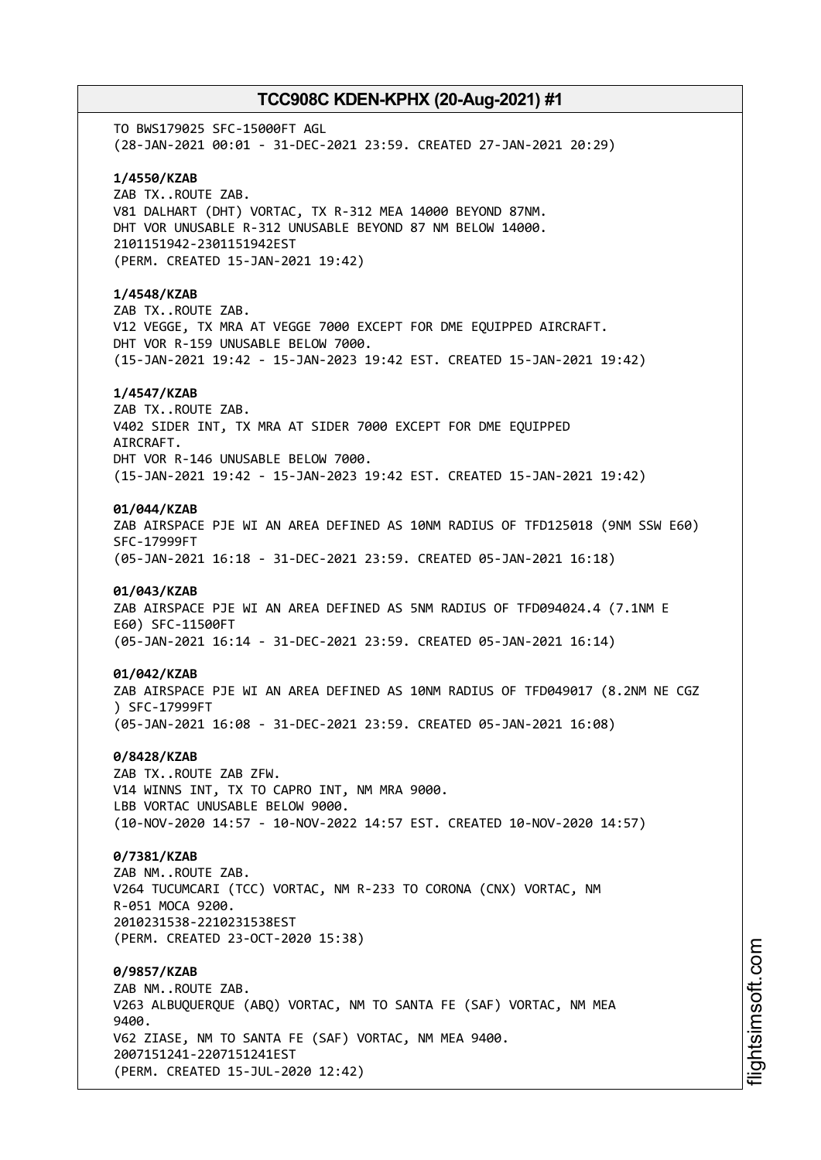TO BWS179025 SFC-15000FT AGL (28-JAN-2021 00:01 - 31-DEC-2021 23:59. CREATED 27-JAN-2021 20:29) **1/4550/KZAB** ZAB TX..ROUTE ZAB. V81 DALHART (DHT) VORTAC, TX R-312 MEA 14000 BEYOND 87NM. DHT VOR UNUSABLE R-312 UNUSABLE BEYOND 87 NM BELOW 14000. 2101151942-2301151942EST (PERM. CREATED 15-JAN-2021 19:42) **1/4548/KZAB** ZAB TX..ROUTE ZAB. V12 VEGGE, TX MRA AT VEGGE 7000 EXCEPT FOR DME EQUIPPED AIRCRAFT. DHT VOR R-159 UNUSABLE BELOW 7000. (15-JAN-2021 19:42 - 15-JAN-2023 19:42 EST. CREATED 15-JAN-2021 19:42) **1/4547/KZAB** ZAB TX..ROUTE ZAB. V402 SIDER INT, TX MRA AT SIDER 7000 EXCEPT FOR DME EQUIPPED AIRCRAFT. DHT VOR R-146 UNUSABLE BELOW 7000. (15-JAN-2021 19:42 - 15-JAN-2023 19:42 EST. CREATED 15-JAN-2021 19:42) **01/044/KZAB** ZAB AIRSPACE PJE WI AN AREA DEFINED AS 10NM RADIUS OF TFD125018 (9NM SSW E60) SFC-17999FT (05-JAN-2021 16:18 - 31-DEC-2021 23:59. CREATED 05-JAN-2021 16:18) **01/043/KZAB** ZAB AIRSPACE PJE WI AN AREA DEFINED AS 5NM RADIUS OF TFD094024.4 (7.1NM E E60) SFC-11500FT (05-JAN-2021 16:14 - 31-DEC-2021 23:59. CREATED 05-JAN-2021 16:14) **01/042/KZAB** ZAB AIRSPACE PJE WI AN AREA DEFINED AS 10NM RADIUS OF TFD049017 (8.2NM NE CGZ ) SFC-17999FT (05-JAN-2021 16:08 - 31-DEC-2021 23:59. CREATED 05-JAN-2021 16:08) **0/8428/KZAB** ZAB TX..ROUTE ZAB ZFW. V14 WINNS INT, TX TO CAPRO INT, NM MRA 9000. LBB VORTAC UNUSABLE BELOW 9000. (10-NOV-2020 14:57 - 10-NOV-2022 14:57 EST. CREATED 10-NOV-2020 14:57) **0/7381/KZAB** ZAB NM..ROUTE ZAB. V264 TUCUMCARI (TCC) VORTAC, NM R-233 TO CORONA (CNX) VORTAC, NM R-051 MOCA 9200. 2010231538-2210231538EST (PERM. CREATED 23-OCT-2020 15:38) **0/9857/KZAB** ZAB NM..ROUTE ZAB. V263 ALBUQUERQUE (ABQ) VORTAC, NM TO SANTA FE (SAF) VORTAC, NM MEA 9400. V62 ZIASE, NM TO SANTA FE (SAF) VORTAC, NM MEA 9400. 2007151241-2207151241EST (PERM. CREATED 15-JUL-2020 12:42)